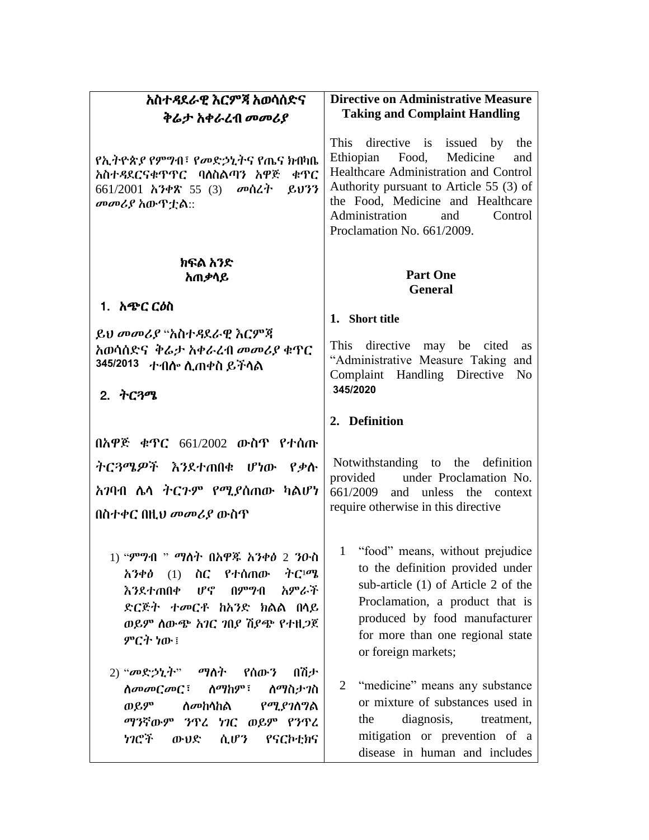| አስተዳደራዊ እርምጃ አወሳሰድና                                                                                                                                                                                                                                    | <b>Directive on Administrative Measure</b>                                                                                                                                                                                                                                                      |
|--------------------------------------------------------------------------------------------------------------------------------------------------------------------------------------------------------------------------------------------------------|-------------------------------------------------------------------------------------------------------------------------------------------------------------------------------------------------------------------------------------------------------------------------------------------------|
| ቅሬታ አቀራረብ መመሪያ                                                                                                                                                                                                                                         | <b>Taking and Complaint Handling</b>                                                                                                                                                                                                                                                            |
| የኢትዮጵያ የምግብ፣ የመድኃኒትና የጤና ክብካቤ<br>አስተዳደርናቁጥጥር ባለስልጣን አዋጅ<br>ቁጥር<br>661/2001 አንቀጽ 55 (3) መሰረት ይህንን<br>መመሪያ አውዋቷል::                                                                                                                                       | This<br>directive is issued by the<br>Ethiopian Food,<br>Medicine<br>and<br>Healthcare Administration and Control<br>Authority pursuant to Article 55 (3) of<br>the Food, Medicine and Healthcare<br>Administration and<br>Control<br>Proclamation No. 661/2009.                                |
| ክፍል አንድ<br>አጠቃሳይ                                                                                                                                                                                                                                       | <b>Part One</b><br><b>General</b>                                                                                                                                                                                                                                                               |
| 1. አ <b>ጭር ር</b> ዕስ                                                                                                                                                                                                                                    | 1. Short title                                                                                                                                                                                                                                                                                  |
| ይህ መመሪያ "አስተዳደራዊ እርምጃ<br><u>አወሳሰድና ቅሬታ አቀራረብ መመሪያ ቁጥር</u><br>345/2013 ተብሎ ሲጠቀስ ይችሳል<br>2.7C39                                                                                                                                                          | This directive may be cited<br><b>as</b><br>"Administrative Measure Taking and<br>Complaint Handling Directive No<br>345/2020                                                                                                                                                                   |
|                                                                                                                                                                                                                                                        | 2. Definition                                                                                                                                                                                                                                                                                   |
| በአዋጅ ቁጥር 661/2002 ውስጥ የተሰጡ                                                                                                                                                                                                                             |                                                                                                                                                                                                                                                                                                 |
| ትር3ሜዎች እንደተጠበቁ ሆነው የቃሉ                                                                                                                                                                                                                                 | Notwithstanding to the definition                                                                                                                                                                                                                                                               |
| አንባብ ሴሳ ትርጉም የሚያሰጠው ካልሆነ                                                                                                                                                                                                                               | provided under Proclamation No.<br>661/2009 and unless the context                                                                                                                                                                                                                              |
| በስተቀር በዚህ መመሪያ ውስጥ                                                                                                                                                                                                                                     | require otherwise in this directive                                                                                                                                                                                                                                                             |
| 1) "ምግብ " ማስት በአዋጁ አንቀ <i>ፅ</i> 2 ንዑስ<br>ትር™ያ<br>ስር የተሰጠው<br>አንቀፅ<br>(1)<br>በምግብ<br>አምራች<br>እንደተጠበቀ<br>ሆኖ<br>ድርጅት ተመርቶ ከአንድ ክልል በላይ<br>ወይም ስውጭ አገር ገበያ ሽያጭ የተዘ <i>ጋ</i> ጀ<br>ምርት ነው ፤<br>2) "መድኃኒት" ማስት የሰውን<br>በሽታ<br><i>ስመመርመር</i> ፣ ስማከም፣<br>ስማስታንስ | 1 "food" means, without prejudice<br>to the definition provided under<br>sub-article (1) of Article 2 of the<br>Proclamation, a product that is<br>produced by food manufacturer<br>for more than one regional state<br>or foreign markets;<br>"medicine" means any substance<br>$\overline{2}$ |
| ወይም<br>ለ <i>መ</i> ከሳከል<br>የሚያገስግል                                                                                                                                                                                                                      | or mixture of substances used in                                                                                                                                                                                                                                                                |
| ማንኛውም ንጥሬ ነገር ወይም የንጥሬ<br>ነገሮች<br>ሲሆን የናርኮቲክና<br>ውህድ                                                                                                                                                                                                   | diagnosis, treatment,<br>the<br>mitigation or prevention of a<br>disease in human and includes                                                                                                                                                                                                  |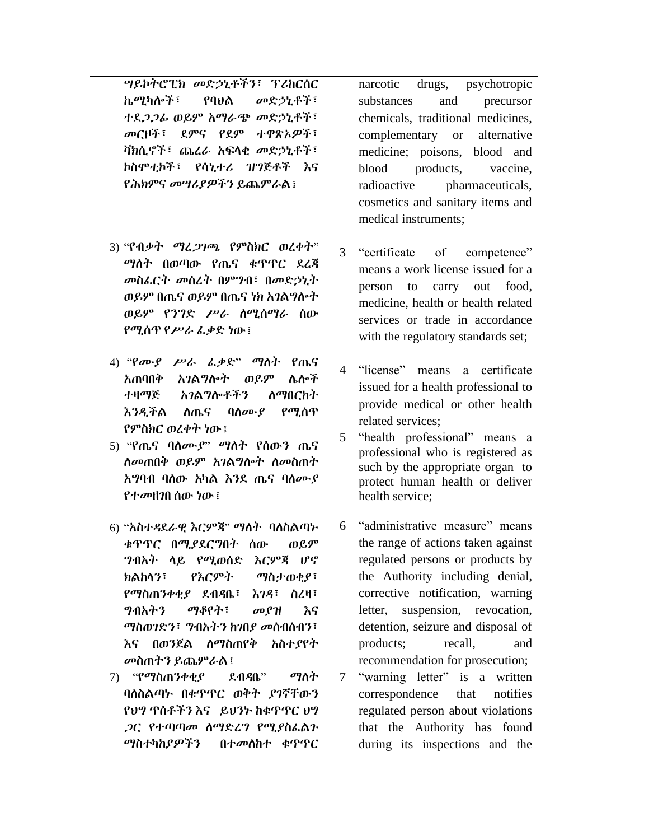ሣይኮትሮፒክ መዴኃኒቶችን፣ ፕሪከርሰር ኬሚካልች፣ የባህሌ መዴኃኒቶች፣ ተዯጋጋፊ ወይም አማራጭ መዴኃኒቶች፣ መርዞች፣ ዯምና የዯም ተዋጽኦዎች፣ ቫክሲኖች፣ ጨረራ አፍሊቂ መዴኃኒቶች፣ ኮስሞቲኮች፣ የሳኒተሪ ዝግጅቶች እና የሕክምና መሣሪያዎችን ይጨምራሌ፤

- 3) "የብቃት ማረጋገጫ የምስክር ወረቀት" ማስት በወጣው የጤና ቁጥጥር ደረጃ መስፈርት መሰረት በምግብ፣ በመዴኃኒት ወይም በጤና ወይም በጤና ነክ አ*ገ*ልግሎት ወይም የንግዴ ሥራ ሇሚሰማራ ሰው የሚሰጥ የሥራ ፈቃዴ ነው፤
- 4) "የሙያ ሥራ ፌቃድ" ማስት የጤና አጠባበቅ አገልግሎት ወይም ሴሎች ተዛማጅ አገልግሎቶችን ለማበርከት እንዳችል ስጤና ባለሙ*የ የ*ማሰጥ የምስክር ወረቀት ነው፤
- 5) "የጤና ባስሙዋ" ማስት የሰውን ጤና ስመጠበቅ ወይም አገልግሎት ስመስጠት አግባብ ባለው አካል እንደ ጤና ባለሙያ የተመዘገበ ሰው ነው፤
- 6) "አስተዳደራዊ እርምጃ" ማስት ባስስልጣኑ ቁጥጥር በሚያደርግበት ሰው ወይም ግብአት ሊይ የሚወሰዴ እርምጃ ሆኖ ክሌከሊን፣ የእርምት ማስታወቂያ፣ የማስጠንቀቂያ ዯብዲቤ፣ እገዲ፣ ስረዛ፣ ግብአትን ማቆየት፣ መያዝ እና ማስወገዴን፣ ግብአትን ከገበያ መሰብሰብን፣ እና በወንጀል ለማስጠየቅ አስተያየት መስጠትን ይጨምራሌ፤
- 7) "የማስጠንቀቂ*ያ* ደብዳቤ" ማስት ባለስልጣኑ በቁጥጥር ወቅት ያገኛቸውን የህግ ጥሰቶችን እና ይህንኑ ከቁጥጥር ህግ ጋር የተጣጣመ ሇማዴረግ የሚያስፈሌጉ ማስተካከያዎችን በተመስከተ ቁጥጥር

narcotic drugs, psychotropic substances and precursor chemicals, traditional medicines, complementary or alternative medicine; poisons, blood and blood products, vaccine, radioactive pharmaceuticals, cosmetics and sanitary items and medical instruments;

- 3 "certificate of competence" means a work license issued for a person to carry out food, medicine, health or health related services or trade in accordance with the regulatory standards set;
- 4 "license" means a certificate issued for a health professional to provide medical or other health related services;
- 5 "health professional" means a professional who is registered as such by the appropriate organ to protect human health or deliver health service;
- 6 "administrative measure" means the range of actions taken against regulated persons or products by the Authority including denial, corrective notification, warning letter, suspension, revocation, detention, seizure and disposal of products; recall, and recommendation for prosecution;
- 7 "warning letter" is a written correspondence that notifies regulated person about violations that the Authority has found during its inspections and the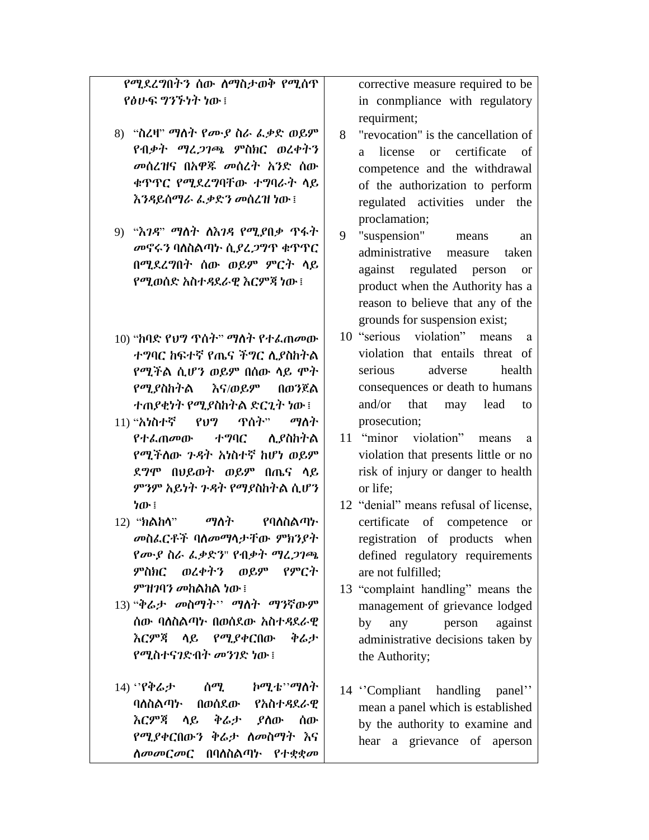የሚደረግበትን ሰው ስማስታወቅ የሚሰጥ የፅሁፍ ግንኙነት ነው፤

- 8) "ስረዛ" ማስት የሙያ ስራ ፌቃድ ወይም የብቃት ማረጋገጫ ምስክር ወረቀትን መሰረዝና በአዋጁ መሰረት አንዴ ሰው ቁጥጥር የሚደረግባቸው ተግባራት ላይ እንዲይሰማራ ፈቃዴን መሰረዝ ነው፤
- 9) "እገዳ" ማስት ስእገዳ የሚያበቃ ጥፋት መኖሩን ባለስልጣኑ ሲያረ*ጋግ*ጥ ቁጥጥር በሚዯረግበት ሰው ወይም ምርት ሊይ የሚወሰድ አስተዳደራዊ እርምጃ ነው ፤
- 10) "ከባድ የህግ ጥሰት" ማስት የተፈጠመው ተግባር ከፍተኛ የጤና ችግር ሉያስከትሌ የሚችሌ ሲሆን ወይም በሰው ሊይ ሞት የሚያስከትሌ እና/ወይም በወንጀሌ ተጠያቂነት የሚያስከትሌ ዴርጊት ነው፤
- $11$ ) "አነስተኛ የህግ ጥሰት" ማስት የተፈጠመው ተግባር ሉያስከትሌ የሚችለው ጉዳት አነስተኛ ከሆነ ወይም ዯግሞ በህይወት ወይም በጤና ሊይ ምንም አይነት ጉዲት የማያስከትሌ ሲሆን ነው፤
- 12) "ክልክላ" *ማለት* የባለስልጣ*ኑ* መስፈርቶች ባስመማላታቸው ምክንያት የሙያ ስራ ፈቃዴን" የብቃት ማረጋገጫ ምስክር ወረቀትን ወይም የምርት ምዝገባን መከሌከሌ ነው፤
- 13) "ቅሬታ መስማት" ማለት ማንኛውም ሰው ባለስልጣኑ በወሰደው አስተዳደራዊ እርምጃ ሊይ የሚያቀርበው ቅሬታ የሚስተናገዴብት መንገዴ ነው፤
- 14) ''የቅሬታ ሰሚ ኮሚቴ'''ማስት ባለስልጣኑ በወሰደው የአስተዳደራዊ እርምጃ ላይ ቅሬታ ያስው ሰው የሚያቀርበውን ቅሬታ ስመስማት እና ሰመመርመር በባስስልጣኑ የተቋቋመ

corrective measure required to be in conmpliance with regulatory requirment;

- 8 "revocation" is the cancellation of a license or certificate of competence and the withdrawal of the authorization to perform regulated activities under the proclamation;
- 9 "suspension" means an administrative measure taken against regulated person or product when the Authority has a reason to believe that any of the grounds for suspension exist;
- 10 "serious violation" means a violation that entails threat of serious adverse health consequences or death to humans and/or that may lead to prosecution;
- 11 "minor violation" means a violation that presents little or no risk of injury or danger to health or life;
- 12 "denial" means refusal of license, certificate of competence or registration of products when defined regulatory requirements are not fulfilled;
- 13 "complaint handling" means the management of grievance lodged by any person against administrative decisions taken by the Authority;
- 14 "Compliant handling panel" mean a panel which is established by the authority to examine and hear a grievance of aperson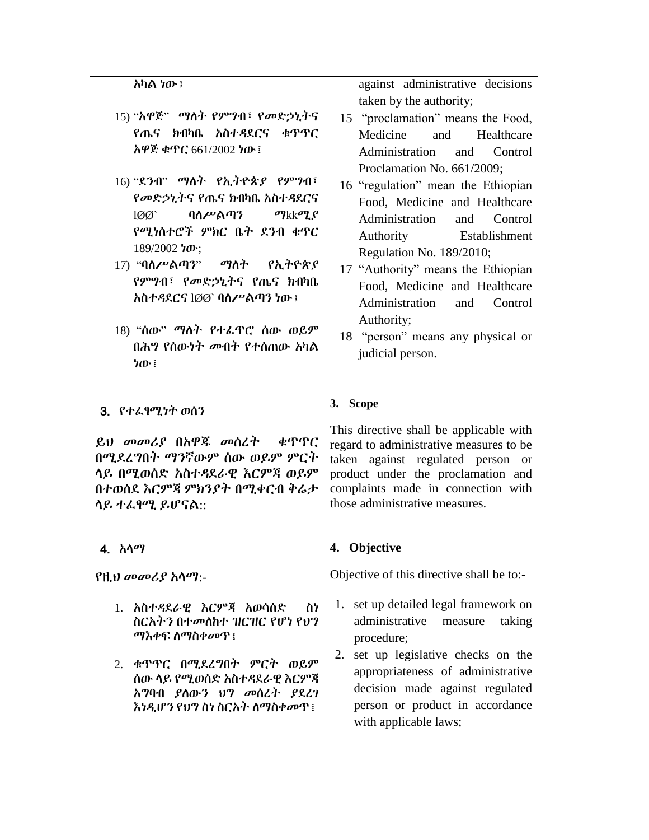| አካል ነው ፤                                                                                                                                                                                                | against administrative decisions                                                                                                                                                                                                                                         |
|---------------------------------------------------------------------------------------------------------------------------------------------------------------------------------------------------------|--------------------------------------------------------------------------------------------------------------------------------------------------------------------------------------------------------------------------------------------------------------------------|
|                                                                                                                                                                                                         | taken by the authority;                                                                                                                                                                                                                                                  |
| 15) "አዋጅ" ማስት የምግብ፣ የመድኃኒትና                                                                                                                                                                             | 15 "proclamation" means the Food,                                                                                                                                                                                                                                        |
| የጤና ክብካቤ አስተዳደርና ቁጥጥር                                                                                                                                                                                   | Medicine and Healthcare                                                                                                                                                                                                                                                  |
| አዋጅ ቁጥር 661/2002 ነው ፤                                                                                                                                                                                   | Administration<br>and<br>Control                                                                                                                                                                                                                                         |
|                                                                                                                                                                                                         | Proclamation No. 661/2009;                                                                                                                                                                                                                                               |
| 16) "ደንብ" <i>ማ</i> ስት የኢትዮጵ <i>ያ</i> የምግብ፣                                                                                                                                                              | 16 "regulation" mean the Ethiopian                                                                                                                                                                                                                                       |
| የመድኃኒትና የጤና ክብካቤ አስተዳደርና                                                                                                                                                                                | Food, Medicine and Healthcare                                                                                                                                                                                                                                            |
| ባለሥልጣን<br>$\boldsymbol{\eta}$ <sub>kk</sub> $\boldsymbol{\eta}$ $\boldsymbol{\rho}$<br>$100^{\circ}$                                                                                                    | Administration and Control                                                                                                                                                                                                                                               |
| የሚነስተሮች ምክር ቤት ደንብ ቁጥር                                                                                                                                                                                  | Authority Establishment                                                                                                                                                                                                                                                  |
| 189/2002 ነው:                                                                                                                                                                                            | Regulation No. 189/2010;                                                                                                                                                                                                                                                 |
| $17)$ "ባለሥልጣን" ማስት የኢትዮጵያ                                                                                                                                                                               | 17 "Authority" means the Ethiopian                                                                                                                                                                                                                                       |
| የምግብ፣ የመድኃኒትና የጤና ክብካቤ                                                                                                                                                                                  | Food, Medicine and Healthcare                                                                                                                                                                                                                                            |
| አስተዳደርና IØØ` ባለሥልጣን ነው ፤                                                                                                                                                                                | Administration and<br>Control                                                                                                                                                                                                                                            |
|                                                                                                                                                                                                         | Authority;                                                                                                                                                                                                                                                               |
| 18) "ሰው" <i>ማ</i> ስት የተፌዋሮ ሰው ወይም                                                                                                                                                                       | 18 "person" means any physical or                                                                                                                                                                                                                                        |
| በሕግ የሰውነት መብት የተሰጠው አካል                                                                                                                                                                                 | judicial person.                                                                                                                                                                                                                                                         |
| ነው ፡                                                                                                                                                                                                    |                                                                                                                                                                                                                                                                          |
| 3. የተፈፃሚነት ወሰን<br>ይህ መመሪያ በአዋጁ መሰረት - ቁጥጥር<br>በሚደረግበት ማንኛውም ሰው ወይም ምርት                                                                                                                                  | 3. Scope<br>This directive shall be applicable with<br>regard to administrative measures to be<br>taken against regulated person or<br>product under the proclamation and                                                                                                |
| ሳይ በሚወሰድ አስተዳደራዊ እርምጃ ወይም<br>በተወሰደ እርምጃ ምክንያት በሚቀርብ ቅሬታ<br>ሳይ ተፈፃሚ ይሆናል::                                                                                                                               | complaints made in connection with<br>those administrative measures.                                                                                                                                                                                                     |
| 4. አላ <i>ጣ</i>                                                                                                                                                                                          | 4. Objective                                                                                                                                                                                                                                                             |
| የዚህ መመሪያ አሳማ:-                                                                                                                                                                                          | Objective of this directive shall be to:-                                                                                                                                                                                                                                |
| 1. አስተዳደራዊ እርምጃ አወሳሰድ<br>ስነ<br>ስርአትን በተመለከተ ዝርዝር የሆነ የህግ<br><i>ማ</i> እቀፍ ለማስቀመጥ ፤<br>2. ቁጥጥር በሚደረግበት ምርት ወይም<br>ሰው ሳይ የሚወሰድ አስተዳደራዊ እርምጃ<br>አግባብ ያስውን ህግ መስረት ያደረገ<br><i>እነዲሆን</i> የህግ ስነ ስርአት ለማስቀመጥ ፣ | 1. set up detailed legal framework on<br>administrative<br>taking<br>measure<br>procedure;<br>set up legislative checks on the<br>2.<br>appropriateness of administrative<br>decision made against regulated<br>person or product in accordance<br>with applicable laws; |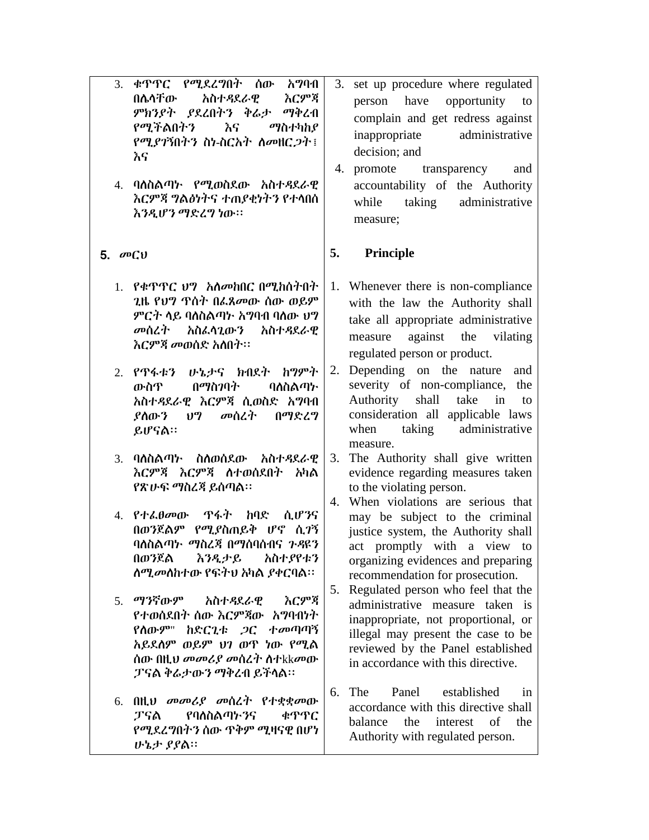| ቁጥጥር የሚደረግበት ሰው አግባብ<br>3.<br>እርምጃ<br>በሴሳቸው<br>አስተዳደራዊ<br>ምክንያት ያደረበትን ቅሬታ ማቅረብ<br>የሚችልበትን እና<br>ማስተካከያ<br>የሚያገኝበትን ስነ-ስርአት ስመዘር <i>ጋ</i> ት ፤<br>እና<br>4. ባለስልጣኑ የሚወስደው አስተዳደራዊ<br>እርምጃ ግልፅነትና ተጠያቂነትን የተሳበሰ<br>እንዲሆን ማድረግ ነው። | 3. set up procedure where regulated<br>person have opportunity to<br>complain and get redress against<br>inappropriate administrative<br>decision; and<br>promote transparency and<br>4.<br>accountability of the Authority<br>taking administrative<br>while<br>measure; |
|--------------------------------------------------------------------------------------------------------------------------------------------------------------------------------------------------------------------------------|---------------------------------------------------------------------------------------------------------------------------------------------------------------------------------------------------------------------------------------------------------------------------|
| 5. $\omega$ CU                                                                                                                                                                                                                 | 5.<br>Principle                                                                                                                                                                                                                                                           |
| 1. የቁጥጥር ህግ አለመከበር በሚከሰትበት<br><i>ጊ</i> ዜ የህግ ጥሰት በፌጸ <i></i> መው ሰው ወይም<br>ምርት ሳይ ባለስልጣኑ አግባብ ባለው ህግ<br>መሰረት አስፌሳጊውን አስተዳደራዊ<br>እርምጃ መወሰድ አ <b>ለ</b> በት፡፡                                                                       | 1. Whenever there is non-compliance<br>with the law the Authority shall<br>take all appropriate administrative<br>measure against the vilating<br>regulated person or product.                                                                                            |
| 2. የጥፋቱን ሁኔታና ክብደት ከግምት<br>በማስንባት<br>ባለስልጣኍ<br>ውስጥ<br>አስተዳደራዊ እርምጃ ሲወስድ አግባብ<br><i>ያ</i> ስውን ህግ መሰረት በማድረግ<br>ይሆናል።                                                                                                            | Depending on the nature and<br>2.<br>severity of non-compliance, the<br>Authority shall take in<br>to<br>consideration all applicable laws<br>when taking administrative<br>measure.                                                                                      |
| ባለስልጣኑ ስለወሰደው አስተዳደራዊ<br>3.<br>እርምጃ እርምጃ ስተወሰደበት አካል<br>የጽሁፍ ማስረጃ ይሰጣል።                                                                                                                                                        | The Authority shall give written<br>3.<br>evidence regarding measures taken<br>to the violating person.<br>When violations are serious that<br>4.                                                                                                                         |
| 4. የተፈፀመው ጥፋት ከባድ ሲሆንና<br>በወንጀልም የሚያስጠይቅ ሆኖ ሲ <i>ገ</i> ኝ<br>ባለስልጣኑ ማስረጃ በማሰባሰብና <i>ጉዳ</i> ዩን<br>በወንጀል<br>እንዲታይ አስተያየቱን<br><u>ለሚመለከተው የፍትህ አካል ያቀርባል፡፡</u>                                                                      | may be subject to the criminal<br>justice system, the Authority shall<br>act promptly with a view to<br>organizing evidences and preparing<br>recommendation for prosecution.                                                                                             |
| እርምጃ<br>ማንኛውም<br>አስተዳደራዊ<br>5.<br>የተወሰደበት ሰው እርምጃው  አግባብነት<br>የስውም"<br>ከድርጊቱ ጋር ተመጣጣኝ<br>አይደስም ወይም ህገ ወጥ ነው የሚል<br>ሰው በዚ <i>ህ መመሪያ መ</i> ሰረት ስተkk <i>o</i> ¤ው<br>ፓናል ቅሬታውን ማቅረብ ይችላል፡፡                                         | Regulated person who feel that the<br>5.<br>administrative measure taken is<br>inappropriate, not proportional, or<br>illegal may present the case to be<br>reviewed by the Panel established<br>in accordance with this directive.                                       |
| በዚህ መመሪያ መሰረት የተቋቋመው<br>6.<br>የባለስልጣኑ ንና<br>ቁጥጥር<br>ፓናል<br><i>የሚደረግ</i> በትን ሰው ጥቅም ሚዛናዊ በሆነ<br>ሁኔታ ያያል።                                                                                                                        | The<br>Panel<br>established<br>6.<br>in<br>accordance with this directive shall<br>balance<br>the<br>of<br>the<br>interest<br>Authority with regulated person.                                                                                                            |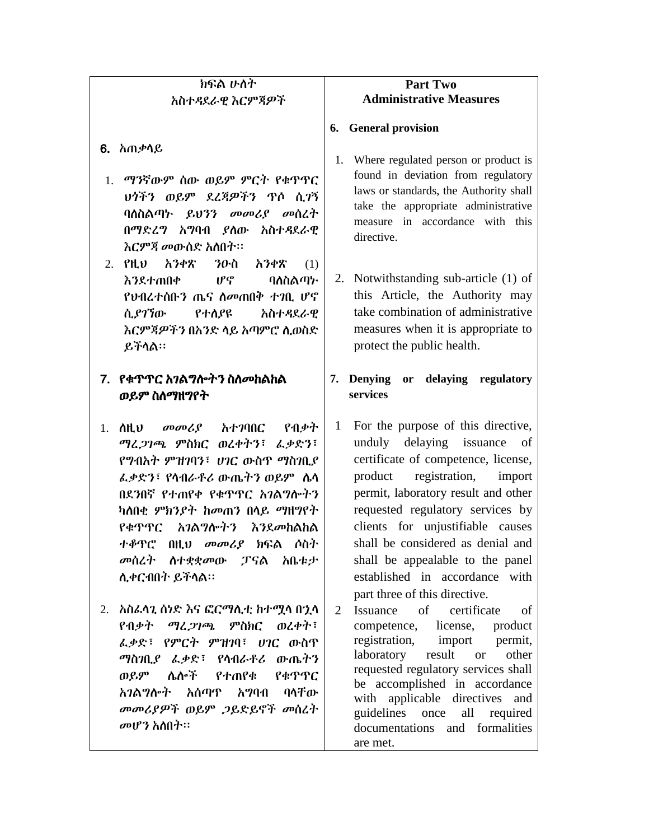| れらみ ひんふ                                                                                                                                                                                                                                                                                                       | <b>Part Two</b>                                                                                                                                                                                                                                                                                                                                                                            |
|---------------------------------------------------------------------------------------------------------------------------------------------------------------------------------------------------------------------------------------------------------------------------------------------------------------|--------------------------------------------------------------------------------------------------------------------------------------------------------------------------------------------------------------------------------------------------------------------------------------------------------------------------------------------------------------------------------------------|
| አስተዳደራዊ እርምጃዎች                                                                                                                                                                                                                                                                                                | <b>Administrative Measures</b>                                                                                                                                                                                                                                                                                                                                                             |
|                                                                                                                                                                                                                                                                                                               |                                                                                                                                                                                                                                                                                                                                                                                            |
|                                                                                                                                                                                                                                                                                                               | 6. General provision                                                                                                                                                                                                                                                                                                                                                                       |
| 6. <i>አ</i> ጠቃሳይ                                                                                                                                                                                                                                                                                              | Where regulated person or product is<br>1.                                                                                                                                                                                                                                                                                                                                                 |
| ማንኛውም ሰው ወይም ምርት የቁጥጥር<br>$1_{\cdot}$<br>ህጎችን ወይም ደረጃዎችን ጥሶ ሲገኝ<br>ባለስልጣኑ ይህንን መመሪያ መሰረት<br>በማድረግ አግባብ ያለው አስተዳደራዊ<br>እርምጃ መውሰድ አ <b>ለ</b> በት፡፡<br>አንቀጽ<br>2. $PH,U$<br>ንዑስ<br>አንቀጽ<br>(1)<br>ሆኖ<br>ባለስልጣኍ<br>እንደተጠበቀ<br>የህብረተሰቡን ጤና ስመጠበቅ ተገቢ ሆኖ<br>ሲያገኘው<br>የተሰያዩ<br>አስተዳደራዊ<br>እርምጃዎችን በአንድ ላይ አጣምሮ ሲወስድ   | found in deviation from regulatory<br>laws or standards, the Authority shall<br>take the appropriate administrative<br>measure in accordance with this<br>directive.<br>2. Notwithstanding sub-article (1) of<br>this Article, the Authority may<br>take combination of administrative<br>measures when it is appropriate to                                                               |
| ይችላል።                                                                                                                                                                                                                                                                                                         | protect the public health.                                                                                                                                                                                                                                                                                                                                                                 |
| 7.   የቁጥጥር አገልግሎትን ስስመከልከል<br>ወይም ስስማዘግየት                                                                                                                                                                                                                                                                     | 7. Denying or delaying regulatory<br>services                                                                                                                                                                                                                                                                                                                                              |
| መመሪያ አተገባበር የብቃት<br>ለዚህ<br>1.<br>ማሬ <i>ጋገጫ ም</i> ስክር ወረቀትን፣ ፌቃድን፣<br>የግብአት ምዝገባን፣ ሀገር ውስጥ ማስገቢያ<br>ፌቃድን፣ የሳብራቶሪ ውጤትን ወይም ሴሳ<br>በደንበኛ የተጠየቀ የቁጥጥር አገልግሎትን<br>ካለበቂ ምክንያት ከመጠን በላይ ማዘግየት<br>የቁጥጥር አገልግሎትን እንደመከልከል<br><i>ተቆ</i> ጥሮ በዚ <i>ህ መመሪያ ክ</i> ፍል ሶስት<br><i>መ</i> ሰረት ስተቋቋመው ፓናል<br>れいなよ<br>ሲቀርብበት ይችላል፡፡ | For the purpose of this directive,<br>$\mathbf{1}$<br>unduly delaying issuance<br>- of<br>certificate of competence, license,<br>product registration,<br>import<br>permit, laboratory result and other<br>requested regulatory services by<br>clients for unjustifiable causes<br>shall be considered as denial and<br>shall be appealable to the panel<br>established in accordance with |
| <i>አስ</i> ራሳጊ ሰነድ እና ፎርማሲቲ ከተሟሳ በኋሳ<br>2.<br>የብቃት ማሬ <i>ጋገ</i> ጫ ምስክር ወረቀት፣<br>ፌቃድ፣ የምርት ምዝገባ፣ ሀገር ውስጥ<br><i>ጣስገቢያ ሌቃ</i> ድ፣ የሳብራቶሪ ውጤትን<br>ወይም<br>ሌሎች የተጠየቁ የቁጥጥር<br>አ <i>ገ</i> ል <i>ግ</i> ሎት አሰጣጥ አማባብ ባላቸው<br>መመሪያዎች ወይም ጋይድይኖች መሰረት<br>መሆን አስበት፡፡                                                         | part three of this directive.<br>Issuance<br>of certificate<br>2<br>of<br>competence, license,<br>product<br>import permit,<br>registration,<br>laboratory result<br>or<br>other<br>requested regulatory services shall<br>be accomplished in accordance<br>with applicable directives and<br>guidelines once<br>all required<br>documentations and formalities<br>are met.                |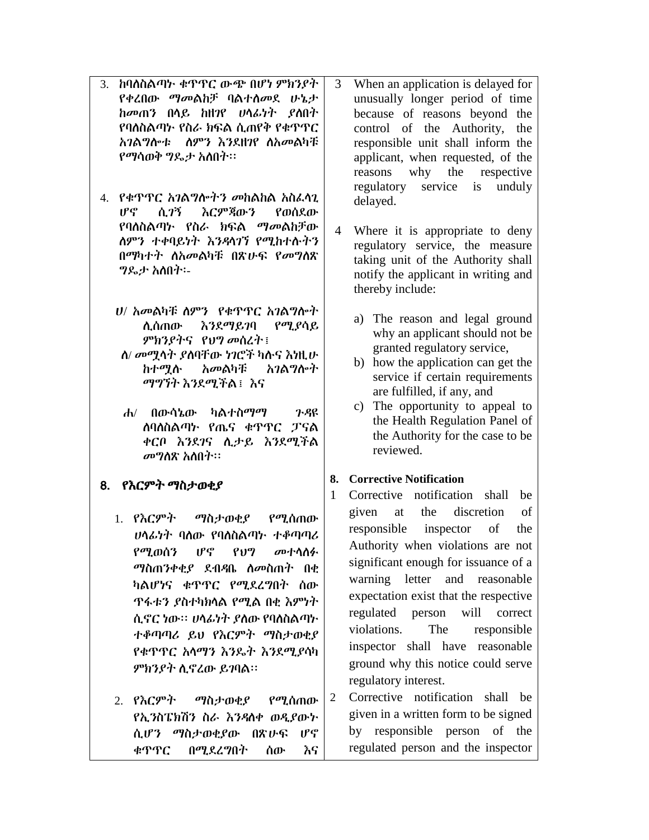- 3. ከባለስልጣኑ ቁጥጥር ውጭ በሆነ ምክንያት የቀረበው ማመልከቻ ባልተሰመደ ሁኔታ ከመጠን በሳይ ከዘገየ ሀሳፊነት ያስበት የባለስልጣኑ የስራ ክፍል ሲጠየቅ የቁጥጥር አገልግሎቱ ለምን እንደዘገየ ስአመልካቹ የማሳወቅ ግጼታ አስበት፡፡
- 4. የቁጥጥር አገሌግልትን መከሌከሌ አስፈሊጊ ሆኖ ሲ*ገ*ኝ እርምጃው*ን* የወሰደው የባለስልጣኑ የስራ ክፍል ማመልከቻው ሇምን ተቀባይነት እንዲሊገኘ የሚከተለትን በማካተት ስአመልካቹ በጽሁፍ የመግለጽ ግዳታ አሇበት፡-
	- ሀ/ አመልካቹ ስምን የቁጥጥር አገልግሎት ሉሰጠው እንዯማይገባ የሚያሳይ ምክንያትና የህግ መሰረት፤
	- ሇ/ መሟሊት ያሇባቸው ነገሮች ካለና እነዚሁ ከተሟለ አመሌካቹ አገሌግልት ማግኘት እንዯሚችሌ፤ እና
	- ሐ/ በውሳኔው ካሌተስማማ ጉዲዩ ሇባሇስሌጣኑ የጤና ቁጥጥር ፓናሌ ቀርቦ እንደገና ሲታይ እንደሚችል መግለጽ አለበት፡፡

## 8. የእርምት ማስታወቂያ

- 1. የእርምት ማስታወቂያ የሚሰጠው ሀላፊነት ባለው የባለስልጣኑ ተቆጣጣሪ የ**ማወሰን ሆኖ የህ**ግ መተ**ላለ**ፉ *ማ*ስጠንቀቂ*ያ* ደብዳቤ ለመስጠት በቂ ካልሆነና ቁጥጥር የሚደረግበት ሰው ጥፋቱን ያስተካክሊሌ የሚሌ በቂ እምነት ሲኖር ነው፡፡ ሀሳፊነት ያስው የባለስልጣት ተቆጣጣሪ ይህ የእርምት ማስታወቂያ የቁጥጥር አሳማን እንዴት እንደሚያሳካ ምክንያት ሉኖረው ይገባሌ፡፡
- 2. የእርምት ማስታወቂያ የሚሰጠው የኢንስፔክሽን ስራ እንዳለቀ ወዲያውኑ ሲሆን ማስታወቂያው በጽሁፍ ሆኖ ቁጥጥር በሚደረግበት ሰው እና
- When an application is delayed for unusually longer period of time because of reasons beyond the control of the Authority, the responsible unit shall inform the applicant, when requested, of the reasons why the respective regulatory service is unduly delayed.
- 4 Where it is appropriate to deny regulatory service, the measure taking unit of the Authority shall notify the applicant in writing and thereby include:
	- a) The reason and legal ground why an applicant should not be granted regulatory service,
	- b) how the application can get the service if certain requirements are fulfilled, if any, and
	- c) The opportunity to appeal to the Health Regulation Panel of the Authority for the case to be reviewed.

## **8. Corrective Notification**

- 1 Corrective notification shall be given at the discretion of responsible inspector of the Authority when violations are not significant enough for issuance of a warning letter and reasonable expectation exist that the respective regulated person will correct violations. The responsible inspector shall have reasonable ground why this notice could serve regulatory interest.
- 2 Corrective notification shall be given in a written form to be signed by responsible person of the regulated person and the inspector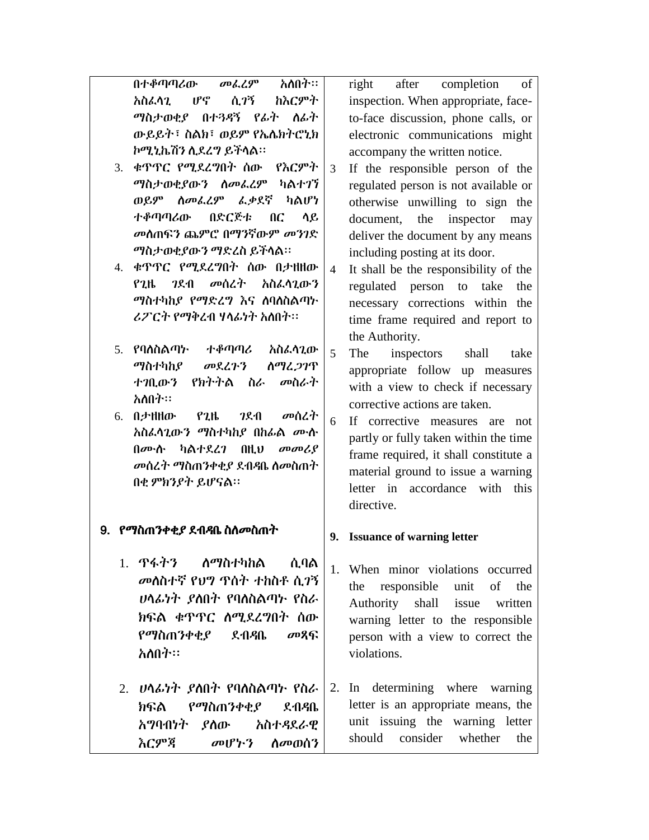በተቆጣጣሪው መፈረም አስበት፡፡ አስፈሊጊ ሆኖ ሲገኝ ከእርምት ማስታወቂያ በተጓዳኝ የፊት ስራት ውይይት፣ ስሌክ፣ ወይም የኤላክትሮኒክ ኮሚኒኬሽን ሲደረግ ይችላል፡፡

- 3. ቁጥጥር የሚደረግበት ሰው የእርምት ማስታወቂያውን ስመፌረም ካልተገኘ ወይም ሰመፌረም ፌቃደኛ ካልሆነ ተቆጣጣሪው በዴርጅቱ በር ሊይ መሇጠፍን ጨምሮ በማንኛውም መንገዴ ማስታወቂያውን ማዴረስ ይችሊሌ፡፡
- 4. ቁጥጥር የሚደረግበት ሰው በታዘዘው የገዜ ገደብ መሰረት አስፈላገውን ማስተካከያ የማድረግ እና ስባስስልጣኑ ሪፖርት የማቅረብ ሃላፊነት አስበት፡፡
- 5. የባለስልጣኑ ተቆጣጣሪ አስፈላጊው ማስተካከያ መደረጉን ስማረ*ጋገ*ጥ ተገቢውን የክትትሌ ስራ መስራት አለበት፡፡
- 6. በታዘዘው የጊዜ ገዯብ መሰረት አስፈሊጊውን ማስተካከያ በከፊሌ ሙለ በሙሉ ካልተደረገ በዚህ መመሪያ *መ*ሰረ*ት ማ*ስጠንቀቂ*ያ* ደብዳቤ ስመስጠት በቂ ምክንያት ይሆናሌ፡፡

## 9. የማስጠንቀቂያ ደብዳቤ ስለመስጠት

- 1. ጥፋትን ለማስተካከል ሰባል መስስተኛ የህግ ጥሰት ተከስቶ ሲ*ገ*ኝ ሀሊፊነት ያሇበት የባሇስሌጣኑ የስራ ክፍል ቁጥጥር ስሚደረግበት ሰው የማስጠንቀቂያ ዯብዲቤ መጻፍ አለበት።
- 2. ሀሳፊነት ያስበት የባስስልጣኑ የስራ ክፍል የማስጠንቀቂያ ደብዳቤ አግባብነት ያስው አስተዳደራዊ እርምጃ መሆኑን ሇመወሰን

right after completion of inspection. When appropriate, faceto-face discussion, phone calls, or electronic communications might accompany the written notice.

- 3 If the responsible person of the regulated person is not available or otherwise unwilling to sign the document, the inspector may deliver the document by any means including posting at its door.
- 4 It shall be the responsibility of the regulated person to take the necessary corrections within the time frame required and report to the Authority.
- 5 The inspectors shall take appropriate follow up measures with a view to check if necessary corrective actions are taken.
- 6 If corrective measures are not partly or fully taken within the time frame required, it shall constitute a material ground to issue a warning letter in accordance with this directive.

#### **9. Issuance of warning letter**

- 1. When minor violations occurred the responsible unit of the Authority shall issue written warning letter to the responsible person with a view to correct the violations.
- 2. In determining where warning letter is an appropriate means, the unit issuing the warning letter should consider whether the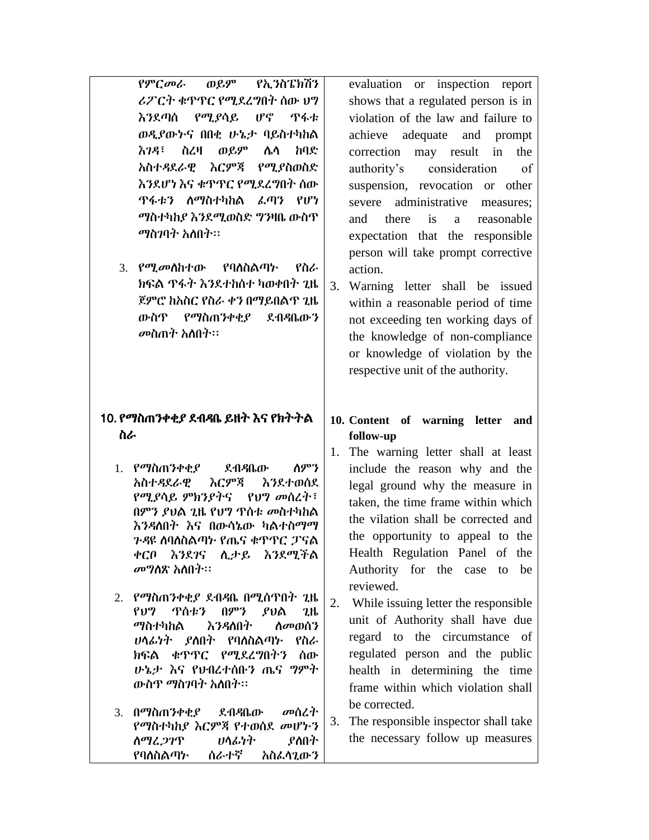የምርመራ ወይም የኢንስፔክሽን ሪፖርት ቁጥጥር የሚደረግበት ሰው ህግ እንዯጣሰ የሚያሳይ ሆኖ ጥፋቱ ወዱያውኑና በበቂ ሁኔታ ባይስተካከሌ እገዳ፣ ስረዛ ወይም ሴሳ ከባድ አስተዲዯራዊ እርምጃ የሚያስወስዴ እንደሆነ እና ቁጥጥር የሚደረግበት ሰው ጥፋቱን ስማስተካከል ፈጣን የሆነ ማስተካከያ እንዯሚወስዴ ግንዛቤ ውስጥ *ማ*ስንባት አለበት፡፡

3. የሚመስከተው የባሰስልጣኑ የስራ ክፍል ጥፋት እንደተከሰተ ካወቀበት ጊዜ ጀምሮ ከአስር የስራ ቀን በማይበሌጥ ጊዜ ውስጥ የማስጠንቀቂያ ዯብዲቤውን *መ*ስጠት አስበት።

## 10. የማስጠንቀቂያ ደብዳቤ ይዘት እና የክትትል ስራ

- 1. የማስጠንቀቂያ ደብዳቤው ሰምን አስተዳደራዊ እርምጃ እንደተወሰደ የሚያሳይ ምክንያትና የህግ መሰረት፣ በምን ያህሌ ጊዜ የህግ ጥሰቱ መስተካከሌ እንዳስበት እና በውሳኔው ካልተስማማ ጉዳዩ ስባስስልጣኑ የጤና ቁጥጥር ፓናል ቀርቦ እንደገና ሊታይ እንደሚችል መግለጽ አለበት፡፡
- 2. የማስጠንቀቂያ ዯብዲቤ በሚሰጥበት ጊዜ የህግ ጥሰቱን በምን ያህሌ ጊዜ *ማ*ስተካከል እ*ንዳ*ለበት ለመወሰን ሀላፊነት ያስበት የባለስልጣኑ የስራ ክፍል ቁጥጥር የሚደረግበትን ሰው ሁኔታ እና የህብረተሰቡን ጤና ግምት ውስጥ ማስገባት አስበት፡፡
- 3. በማስጠንቀቂያ ደብዳቤው መሰረት የማስተካከያ እርምጃ የተወሰደ መሆኑን ስማረ*ጋገ*ጥ ሀላፊነት ያስበት የባለስልጣኑ ሰራተኛ አስፈላጊውን

evaluation or inspection report shows that a regulated person is in violation of the law and failure to achieve adequate and prompt correction may result in the authority"s consideration of suspension, revocation or other severe administrative measures; and there is a reasonable expectation that the responsible person will take prompt corrective action.

- 3. Warning letter shall be issued within a reasonable period of time not exceeding ten working days of the knowledge of non-compliance or knowledge of violation by the respective unit of the authority.
- **10. Content of warning letter and follow-up**

1. The warning letter shall at least include the reason why and the legal ground why the measure in taken, the time frame within which the vilation shall be corrected and the opportunity to appeal to the Health Regulation Panel of the Authority for the case to be reviewed.

2. While issuing letter the responsible unit of Authority shall have due regard to the circumstance of regulated person and the public health in determining the time frame within which violation shall be corrected.

3. The responsible inspector shall take the necessary follow up measures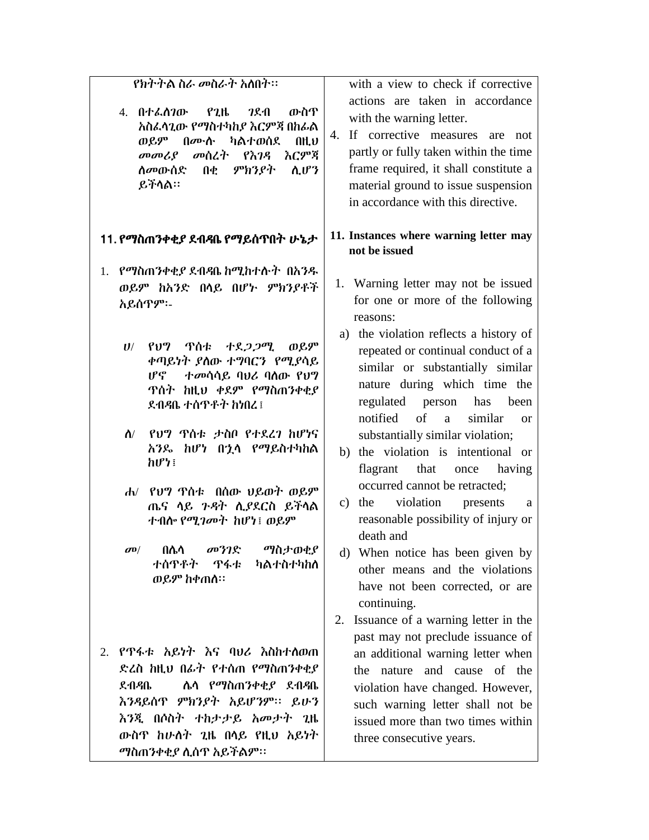| የክትትል ስራ መስራት አለበት፡፡                                                                                                                                                                          | with a view to check if corrective<br>actions are taken in accordance                                                                                                                                                           |
|-----------------------------------------------------------------------------------------------------------------------------------------------------------------------------------------------|---------------------------------------------------------------------------------------------------------------------------------------------------------------------------------------------------------------------------------|
| ውስዋ<br>4. በተፈሰገው<br><b>721</b><br>P211<br>አስፌሳጊው የማስተካከያ እርምጃ በከራል<br>በሙሱ ካልተወሰደ<br>n <sub>H</sub><br>ወይም<br>እርምጃ<br>መሰረት የእንዳ<br>መመሪያ<br><i>ስመ</i> ውሰድ በቂ<br>ምክንያት<br>ሲሆን<br>ይችሳል።           | with the warning letter.<br>If corrective measures are not<br>4.<br>partly or fully taken within the time<br>frame required, it shall constitute a<br>material ground to issue suspension<br>in accordance with this directive. |
| 11. የማስጠንቀቂያ ደብዳቤ የማይሰጥበት ሁኔታ                                                                                                                                                                 | 11. Instances where warning letter may<br>not be issued                                                                                                                                                                         |
| 1. የማስጠንቀቂያ ደብዳቤ ከሚከተሱት በአንዱ<br>ወይም ከአንድ በላይ በሆኑ ምክንያቶች<br>አይሰጥም፡-                                                                                                                            | 1. Warning letter may not be issued<br>for one or more of the following<br>reasons:                                                                                                                                             |
| የህግ ጥሰቱ ተደ <i>ጋጋሚ</i><br>ወይም<br>$U^{/}$<br>ቀጣይነት ያስው ተግባርን የሚያሳይ<br>լբբ<br>ተመሳሳይ ባህሪ ባሰው የህግ<br>ጥሰት ከዚህ ቀደም የማስጠንቀቂ <i>ያ</i><br>ደብዳቤ ተሰጥቶት ከነበረ ፤                                             | a) the violation reflects a history of<br>repeated or continual conduct of a<br>similar or substantially similar<br>nature during which time the<br>regulated person has<br>been<br>of a<br>notified<br>similar<br><b>or</b>    |
| የህግ ጥሰቱ ታስቦ የተደረገ ከሆነና<br>$\Lambda$ /<br>አንዴ ከሆነ በኋላ የማይስተካከል<br>h f'                                                                                                                         | substantially similar violation;<br>b) the violation is intentional or<br>flagrant that<br>having<br>once                                                                                                                       |
| ሐ/ የህግ ጥሰቱ በሰው ህይወት ወይም<br>ጤና ሳይ <i>ጉዳ</i> ት ሲያደርስ ይችሳል<br>ተብሎ የሚገመት ከሆነ፤ ወይም                                                                                                                 | occurred cannot be retracted;<br>c) the violation presents<br>a<br>reasonable possibility of injury or<br>death and                                                                                                             |
| $\sigma$ <sup>0</sup> / በሴሳ $\sigma$ ንገድ<br>ማስታወቂያ<br>ተሰዋቶት ዋፋቱ ካልተስተካከሰ<br>ወይም ከቀጠሰ፡፡                                                                                                        | d) When notice has been given by<br>other means and the violations<br>have not been corrected, or are<br>continuing.                                                                                                            |
|                                                                                                                                                                                               | 2. Issuance of a warning letter in the<br>past may not preclude issuance of                                                                                                                                                     |
| 2. የጥፋቱ አይነት እና ባህሪ እስከተሰወጠ<br>ድረስ ከዚህ በራት የተሰጠ የማስጠንቀቂያ<br>ደብዳቤ<br>ሌሳ የማስጠንቀቂያ ደብዳቤ<br>እንዳይሰጥ ምክንያት አይሆንም፡፡ ይሁን<br>እንጂ በሶስት ተከታታይ አመታት ጊዜ<br>ውስጥ ከሁለት ጊዜ በሳይ የዚህ አይነት<br>ማስጠንቀቂያ ሲሰጥ አይችልም፡፡ | an additional warning letter when<br>nature and cause of the<br>the<br>violation have changed. However,<br>such warning letter shall not be<br>issued more than two times within<br>three consecutive years.                    |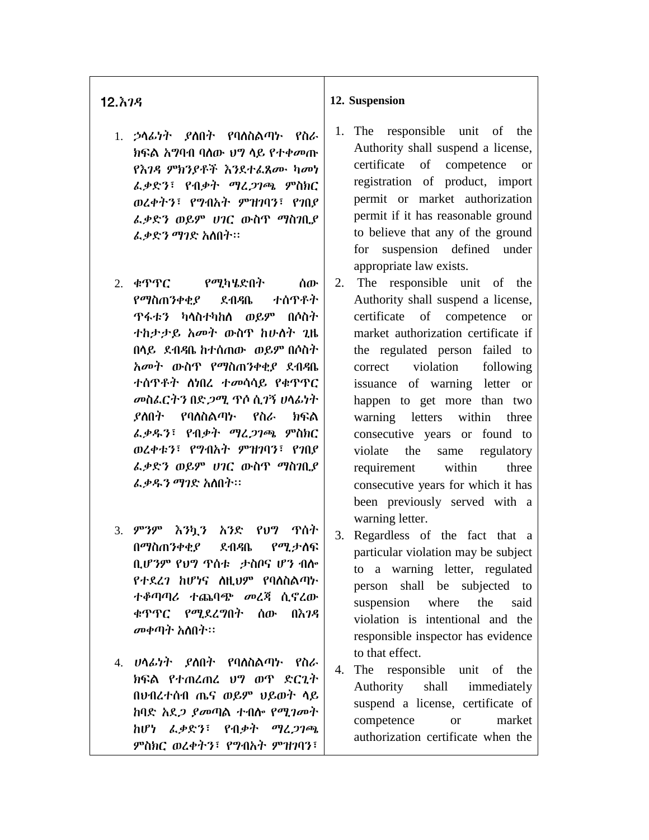## 12.እገዲ

- 1. ኃላፊነት ያስበት የባስስልጣኑ የስራ ክፍል አ**ግባብ ባ**ስው ህግ ላይ የተቀመጡ የእገዳ ምክንያቶች እንደተፈጸሙ ካመነ ፈቃዴን፣ የብቃት ማረጋገጫ ምስክር ወረቀትን፣ የግብአት ምዝገባን፣ የገበያ ፈቃዴን ወይም ሀገር ውስጥ ማስገቢያ ፌቃድን ማገድ አስበት፡፡
- 2. ቁጥጥር የሚካሄዴበት ሰው የማስጠንቀቂያ ዯብዲቤ ተሰጥቶት ጥፋቱን ካላስተካከለ ወይም በሶስት ተከታታይ አመት ውስጥ ከሁለት ጊዜ በሊይ ዯብዲቤ ከተሰጠው ወይም በሶስት አመት ውስጥ የማስጠንቀቂያ ደብዳቤ ተሰጥቶት ስነበረ ተመሳሳይ የቁጥጥር መስፈርትን በዴጋሚ ጥሶ ሲገኝ ሀሊፊነት ያስበት የባለስልጣኑ የስራ ክፍል ፈቃደን፣ የብቃት ማረጋገጫ ምስክር ወረቀቱን፣ የግብአት ምዝገባን፣ የገበያ ፈቃዴን ወይም ሀገር ውስጥ ማስገቢያ *ፌቃዱን ማገ*ድ አስበት፡፡
- 3. ምንም እንኳን አንዴ የህግ ጥሰት በማስጠንቀቂያ ደብዳቤ የሚታስፍ ቢሆንም የህግ ጥሰቱ ታስቦና ሆን ብል የተደረገ ከሆነና ስዚህም የባለስልጣኑ ተቆጣጣሪ ተጨባጭ መረጃ ሲኖረው ቁጥጥር የሚደረግበት ሰው በእገዳ *መቀ*ጣት አስበት፡፡
- 4. ሀሳፊነት ያስበት የባስስልጣኑ የስራ ክፍሌ የተጠረጠረ ህግ ወጥ ዴርጊት በህብረተሰብ ጤና ወይም ህይወት ሊይ ከባድ አደ*ጋ ያመ*ጣል ተብሎ የሚ*ገመት* ከሆነ ፈቃዴን፣ የብቃት ማረጋገጫ ምስክር ወረቀትን፣ የግብአት ምዝገባን፣

#### **12. Suspension**

- 1. The responsible unit of the Authority shall suspend a license, certificate of competence or registration of product, import permit or market authorization permit if it has reasonable ground to believe that any of the ground for suspension defined under appropriate law exists.
- 2. The responsible unit of the Authority shall suspend a license, certificate of competence or market authorization certificate if the regulated person failed to correct violation following issuance of warning letter or happen to get more than two warning letters within three consecutive years or found to violate the same regulatory requirement within three consecutive years for which it has been previously served with a warning letter.
- 3. Regardless of the fact that a particular violation may be subject to a warning letter, regulated person shall be subjected to suspension where the said violation is intentional and the responsible inspector has evidence to that effect.
- 4. The responsible unit of the Authority shall immediately suspend a license, certificate of competence or market authorization certificate when the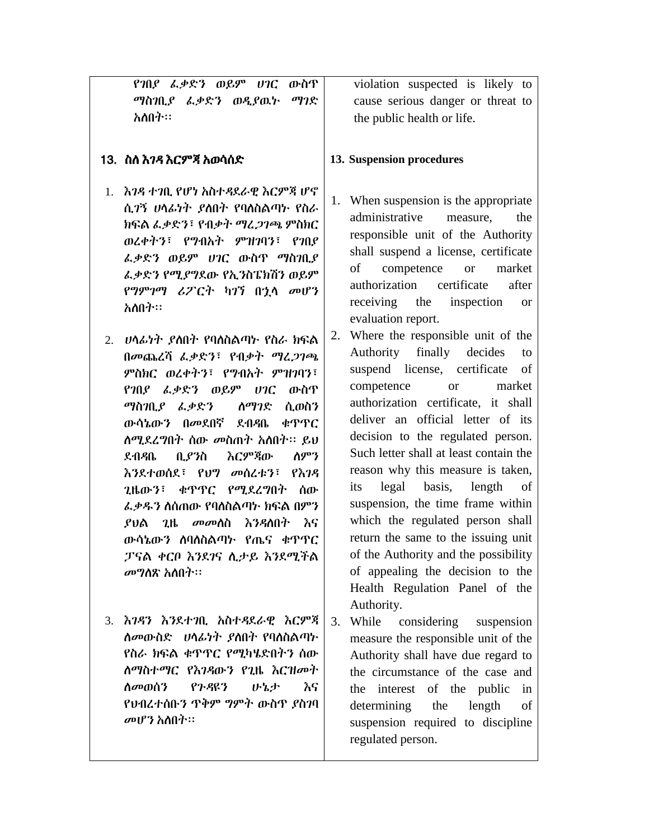የገበያ ፈቃዴን ወይም ሀገር ውስጥ ማስገቢያ ፈቃዴን ወዱያዉኑ ማገዴ አለበት፡፡

#### 13. ስሇ እገዲ እርምጃ አወሳሰዴ

- 1. እገዲ ተገቢ የሆነ አስተዲዯራዊ እርምጃ ሆኖ ሲ*ገኝ ሀ*ሳፊነት ያስበት የባለስልጣት የስራ ክፍሌ ፈቃዴን፣ የብቃት ማረጋገጫ ምስክር ወረቀትን፣ የግብአት ምዝገባን፣ የገበያ ፈቃዴን ወይም ሀገር ውስጥ ማስገቢያ ፌቃድን የሚያግደው የኢንስፔክሽን ወይም የግምገማ ሪፖርት ካገኘ በኋሊ መሆን አስበት፡፡
- 2. ሀሳፊነት ያስበት የባስስልጣኑ የስራ ክፍል በመጨረሻ ፈቃዴን፣ የብቃት ማረጋገጫ ምስክር ወረቀትን፣ የግብአት ምዝገባን፣ የገበያ ፈቃዴን ወይም ሀገር ውስጥ ማስገቢያ ፌቃድን ለማገድ ሲወስን ውሳኔውን በመዯበኛ ዯብዲቤ ቁጥጥር ለማደረግበት ሰው መስጠት አስበት፡፡ ይህ ደብዳቤ ቢያንስ እርምጃው ለምን እንደተወሰደ፣ የህግ መሰረቱን፣ የእገዳ ጊዜውን፣ ቁጥጥር የሚደረግበት ሰው ፌቃዱን ስሰጠው የባለስልጣኑ ክፍል በምን ያህል *ጊ*ዜ *መመ*ስስ እንዳለበት እና ውሳኔውን ስባስስልጣኑ የጤና ቁጥጥር ፓናል ቀርቦ እንደገና ሊታይ እንደሚችል መግለጽ አለበት፡፡
- 3. እንዳን እንደተገቢ አስተዳደራዊ እርምጃ ስመውስድ ሀሳፊነት ያስበት የባስስልጣት የስራ ክፍሌ ቁጥጥር የሚካሄዴበትን ሰው ሇማስተማር የእገዲውን የጊዜ እርዝመት ሇመወሰን የጉዲዩን ሁኔታ እና የህብረተሰቡን ጥቅም ግምት ውስጥ ያስገባ መሆን አስበት።

violation suspected is likely to cause serious danger or threat to the public health or life.

#### **13. Suspension procedures**

- 1. When suspension is the appropriate administrative measure, the responsible unit of the Authority shall suspend a license, certificate of competence or market authorization certificate after receiving the inspection or evaluation report.
- 2. Where the responsible unit of the Authority finally decides to suspend license, certificate of competence or market authorization certificate, it shall deliver an official letter of its decision to the regulated person. Such letter shall at least contain the reason why this measure is taken, its legal basis, length of suspension, the time frame within which the regulated person shall return the same to the issuing unit of the Authority and the possibility of appealing the decision to the Health Regulation Panel of the Authority.
- 3. While considering suspension measure the responsible unit of the Authority shall have due regard to the circumstance of the case and the interest of the public in determining the length of suspension required to discipline regulated person.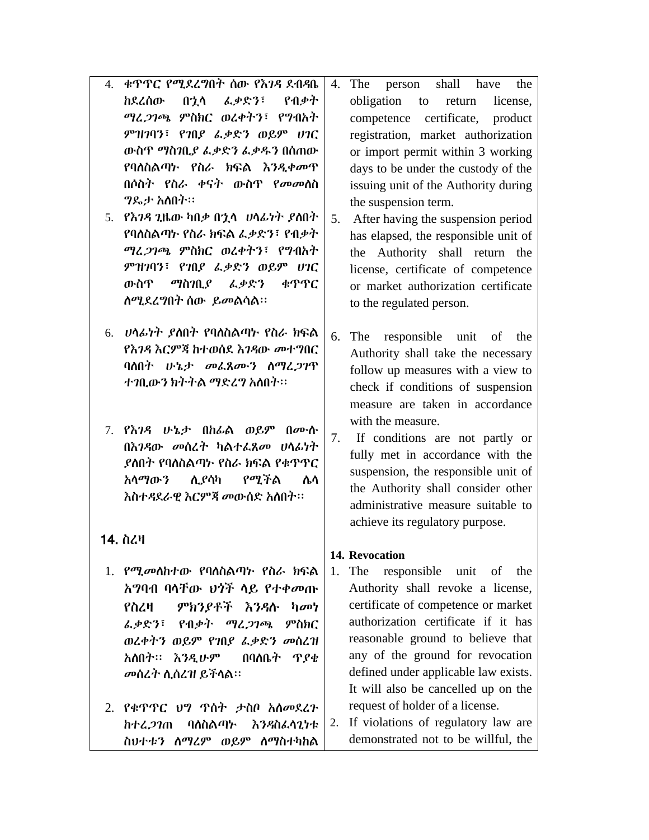- 4. ቁጥጥር የሚደረግበት ሰው የእገዳ ደብዳቤ ከዯረሰው በኋሊ ፈቃዴን፣ የብቃት ማረጋገጫ ምስክር ወረቀትን፣ የግብአት ምዝገባን፣ የገበያ ፈቃዴን ወይም ሀገር ውስጥ ማስገቢያ ፈቃዴን ፈቃደን በሰጠው የባለስልጣኑ የስራ ክፍል እንዲቀመጥ በሶስት የስራ ቀናት ውስጥ የመመስስ ግዳታ አሇበት፡፡
- 5. የእንዳ ጊዜው ካበቃ በኋላ ሀላፊነት ያስበት የባለስልጣኑ የስራ ክፍል ፌቃድን፣ የብቃት ማረጋገጫ ምስክር ወረቀትን፣ የግብአት ምዝገባን፣ የገበያ ፈቃዴን ወይም ሀገር ውስጥ ማስገቢያ ፈቃዴን ቁጥጥር ሇሚዯረግበት ሰው ይመሌሳሌ፡፡
- 6. ሀላፊነት ያስበት የባለስልጣኑ የስራ ክፍል የእገዳ እርምጃ ከተወሰደ እገዳው መተግበር ባለበት ሁኔታ መፈጸሙን ስማረ*ጋገ*ጥ ተገቢውን ክትትል ማድረግ አስበት፡፡
- 7. የእገዲ ሁኔታ በከፊሌ ወይም በሙለ በእገዲው መሰረት ካሌተፈጸመ ሀሊፊነት ያስበት የባለስልጣኑ የስራ ክፍል የቁጥጥር አሊማውን ሉያሳካ የሚችሌ ላሊ እስተዳደራዊ እርምጃ መውሰድ አስበት፡፡

# 14. ስረዛ

- 1. የሚመስከተው የባለስልጣኑ የስራ ክፍል አግባብ ባሊቸው ህጎች ሊይ የተቀመጡ የስረዛ ምክንያቶች እንዲለ ካመነ ፈቃዴን፣ የብቃት ማረጋገጫ ምስክር ወረቀትን ወይም የገበያ ፈቃዴን መሰረዝ አለበት፡፡ እንዲሁም በባለቤት ጥያቄ መሰረት ሉሰረዝ ይችሊሌ፡፡
- 2. የቁጥጥር ህግ ጥሰት ታስቦ አስመደረጉ ከተረ*ጋገ*ጠ ባስስልጣት እንዳስፈላጊነቱ ስህተቱን ስማረም ወይም ስማስተካከል
- 4. The person shall have the obligation to return license, competence certificate, product registration, market authorization or import permit within 3 working days to be under the custody of the issuing unit of the Authority during the suspension term.
- 5. After having the suspension period has elapsed, the responsible unit of the Authority shall return the license, certificate of competence or market authorization certificate to the regulated person.
- 6. The responsible unit of the Authority shall take the necessary follow up measures with a view to check if conditions of suspension measure are taken in accordance with the measure.
- 7. If conditions are not partly or fully met in accordance with the suspension, the responsible unit of the Authority shall consider other administrative measure suitable to achieve its regulatory purpose.

## **14. Revocation**

- 1. The responsible unit of the Authority shall revoke a license, certificate of competence or market authorization certificate if it has reasonable ground to believe that any of the ground for revocation defined under applicable law exists. It will also be cancelled up on the request of holder of a license.
- 2. If violations of regulatory law are demonstrated not to be willful, the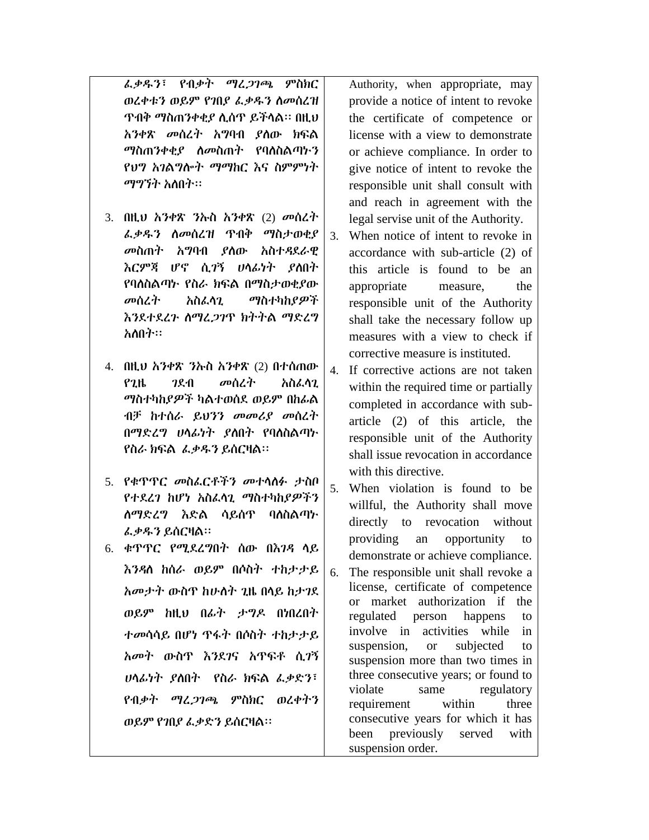ፈቃደን፣ የብቃት ማረጋገጫ ምስክር ወረቀቱን ወይም የገበያ ፌቃዱን ስመሰረዝ ጥብቅ ማስጠንቀቂያ ሉሰጥ ይችሊሌ፡፡ በዚህ አንቀጽ መሰረት አግባብ ያለው ክፍል ማስጠንቀቂያ ስመስጠት የባስስልጣኑን የህግ አገሌግልት ማማከር እና ስምምነት ማግኘት አስበት፡፡

- 3. በዚህ አንቀጽ ንኡስ አንቀጽ (2) መሰረት ፌቃዱን ስመሰረዝ ጥብቅ ማስታወቂያ መስጠት አግባብ ያስው አስተዳደራዊ እርምጃ ሆኖ ሲ*ገ*ኝ ሀላፊነት ያስበት የባለስልጣኑ የስራ ክፍል በማስታወቂያው መሰረት አስፈሊጊ ማስተካከያዎች እንደተደረጉ ለማረጋገጥ ክትትል ማድረግ አለበት፡፡
- 4. በዚህ አንቀጽ ንኡስ አንቀጽ (2) በተሰጠው የጊዜ ገዯብ መሰረት አስፈሊጊ ማስተካከያዎች ካልተወሰደ ወይም በከፊል ብቻ ከተሰራ ይህንን መመሪያ መሰረት በማድረግ ሀሳፊነት ያስበት የባስስልጣኑ የስራ ክፍሌ ፈቃደን ይሰርዛሌ፡፡
- 5. የቁጥጥር መስፌርቶችን መተላስፉ ታስቦ የተዯረገ ከሆነ አስፈሊጊ ማስተካከያዎችን ስማድረግ እድል ሳይሰጥ ባስስልጣ፦ ፈቃደን ይሰርዛሌ፡፡
- 6. ቁጥጥር የሚደረግበት ሰው በእገዳ ላይ እንዳለ ከሰራ ወይም በሶስት ተከታታይ አመታት ውስጥ ከሁለት ጊዜ በላይ ከታገደ ወይም ከዚህ በፊት ታግድ በነበረበት ተመሳሳይ በሆነ ጥፋት በሶስት ተከታታይ አመት ውስጥ እንደገና አጥፍቶ ሲ*ገ*ኝ ሀሊፊነት ያሇበት የስራ ክፍሌ ፈቃዴን፣ የብቃት ማረጋገጫ ምስክር ወረቀትን ወይም የገበያ ፈቃዴን ይሰርዛሌ፡፡

Authority, when appropriate, may provide a notice of intent to revoke the certificate of competence or license with a view to demonstrate or achieve compliance. In order to give notice of intent to revoke the responsible unit shall consult with and reach in agreement with the legal servise unit of the Authority.

- 3. When notice of intent to revoke in accordance with sub-article (2) of this article is found to be an appropriate measure, the responsible unit of the Authority shall take the necessary follow up measures with a view to check if corrective measure is instituted.
- 4. If corrective actions are not taken within the required time or partially completed in accordance with subarticle (2) of this article, the responsible unit of the Authority shall issue revocation in accordance with this directive.
- 5. When violation is found to be willful, the Authority shall move directly to revocation without providing an opportunity to demonstrate or achieve compliance.
- 6. The responsible unit shall revoke a license, certificate of competence or market authorization if the regulated person happens to involve in activities while in suspension, or subjected to suspension more than two times in three consecutive years; or found to violate same regulatory requirement within three consecutive years for which it has been previously served with suspension order.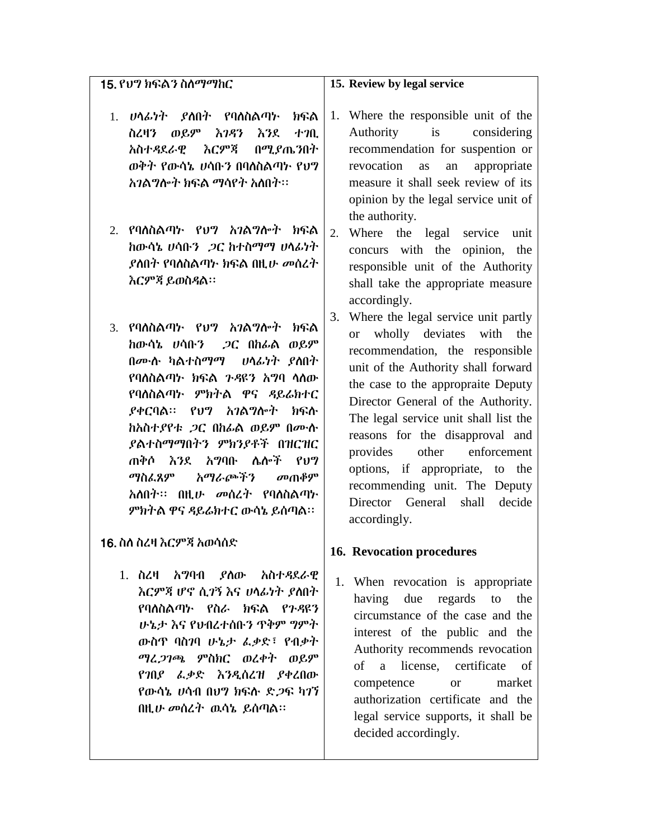| 15. የህግ ክፍልን ስለማማከር                                                                                                                                                                                                                                                                                                                                                                                        | 15. Review by legal service                                                                                                                                                                                                                                                                                                                                                                                                                                                            |
|------------------------------------------------------------------------------------------------------------------------------------------------------------------------------------------------------------------------------------------------------------------------------------------------------------------------------------------------------------------------------------------------------------|----------------------------------------------------------------------------------------------------------------------------------------------------------------------------------------------------------------------------------------------------------------------------------------------------------------------------------------------------------------------------------------------------------------------------------------------------------------------------------------|
| _ያስበት _ የባለስልጣ <u>ት</u><br>ひへんケヤ<br>ክፍል<br>1.<br>ወይም<br>እገዳን<br>እንደ<br>ተገቢ<br>ስረዛን<br>አስተዳደራዊ<br>እርምጃ<br>በ <i>ሚያ</i> ጤንበት<br>ወቅት የውሳኔ ሀሳቡን በባለስልጣኑ የህግ<br><i>አገ</i> ልማሎት ክፍል ማሳየት አስበት፡፡                                                                                                                                                                                                                   | Where the responsible unit of the<br>1.<br>Authority<br>is<br>considering<br>recommendation for suspention or<br>revocation<br>as<br>an<br>appropriate<br>measure it shall seek review of its<br>opinion by the legal service unit of<br>the authority.                                                                                                                                                                                                                                |
| 2. የባለስልጣኑ የህግ አገልግሎት ክፍል<br>ከውሳኔ ሀሳቡን ጋር ከተስማማ ሀሳፊነት<br><i>ያስ</i> በት የባለስልጣት ክፍል በዚሁ መሰረት<br>እርምጃ ይወስዳል፡፡                                                                                                                                                                                                                                                                                                 | Where<br>the legal service<br>2.<br>unit<br>concurs with the opinion, the<br>responsible unit of the Authority<br>shall take the appropriate measure<br>accordingly.                                                                                                                                                                                                                                                                                                                   |
| 3. የባለስልጣኑ የህግ አገልግሎት ክፍል<br>ከውሳኔ ሀሳቡን ጋር በከራል ወይም<br>በሙሉ ካልተስማማ ሀላፊነት ያስበት<br>የባለስልጣ፦ ክፍል <i>ጉዳ</i> ዩን አግባ ሳለው<br>የባለስልጣኑ ምክትል ዋና ዳይሬክተር<br><i>ያቀርባል። የህግ አገልግ</i> ሎት<br>ክፍሉ<br>ከአስተያየቱ <i>ጋ</i> ር በከራል ወይም በሙስ<br><i>ያ</i> ልተስማማበትን ምክንያቶች በዝርዝር<br>አማባቡ<br>ሴሎች<br>ጠቅሶ<br>እንደ<br>P <sub>1</sub><br><i>ማ</i> ስፌጸም አ <i>ማ</i> ራጮችን<br>$\sigma$ ካጠቆም<br>አለበት፡፡ በዚሁ መሰረት የባለስልጣኍ<br>ምክትል ዋና ዳይሬክተር ውሳኔ ይሰጣል። | Where the legal service unit partly<br>3.<br>wholly deviates<br>with<br>the<br><b>or</b><br>recommendation, the responsible<br>unit of the Authority shall forward<br>the case to the appropraite Deputy<br>Director General of the Authority.<br>The legal service unit shall list the<br>reasons for the disapproval and<br>other enforcement<br>provides<br>options, if appropriate, to the<br>recommending unit. The Deputy<br>Director General<br>shall<br>decide<br>accordingly. |
| 16. ስስ ስረዛ እርምጃ አወሳሰድ                                                                                                                                                                                                                                                                                                                                                                                      | <b>16. Revocation procedures</b>                                                                                                                                                                                                                                                                                                                                                                                                                                                       |
| 1. ስረዛ አማባብ ያለው አስተዳደራዊ<br>እርምጃ ሆኖ ሲ <i>ገ</i> ኝ እና ሀሳፊነት <i>ያ</i> ስበት<br>የባለስልጣኑ የስራ ክፍል የንዳዩን<br>ሁኔታ እና የህብረተሰቡን ጥቅም ግምት<br>ውስዋ ባስገባ ሁኔታ ፌቃድ፣ የብቃት<br><i>ጣሬ ጋገጫ ም</i> ስክር ወረቀት ወይም<br>የንበያ ፌቃድ እንዲሰረዝ ያቀረበው<br>የውሳኔ ሀሳብ በሀግ ክፍሱ ድ <i>ጋ</i> ፍ ካገኘ<br>በዚ <i>ሁ መ</i> ሰረት ዉሳኔ ይሰጣል።                                                                                                                           | 1. When revocation is appropriate<br>having due regards to the<br>circumstance of the case and the<br>interest of the public and the<br>Authority recommends revocation<br>a license, certificate<br><sub>of</sub><br>of<br>competence<br>market<br><b>or</b><br>authorization certificate and the<br>legal service supports, it shall be<br>decided accordingly.                                                                                                                      |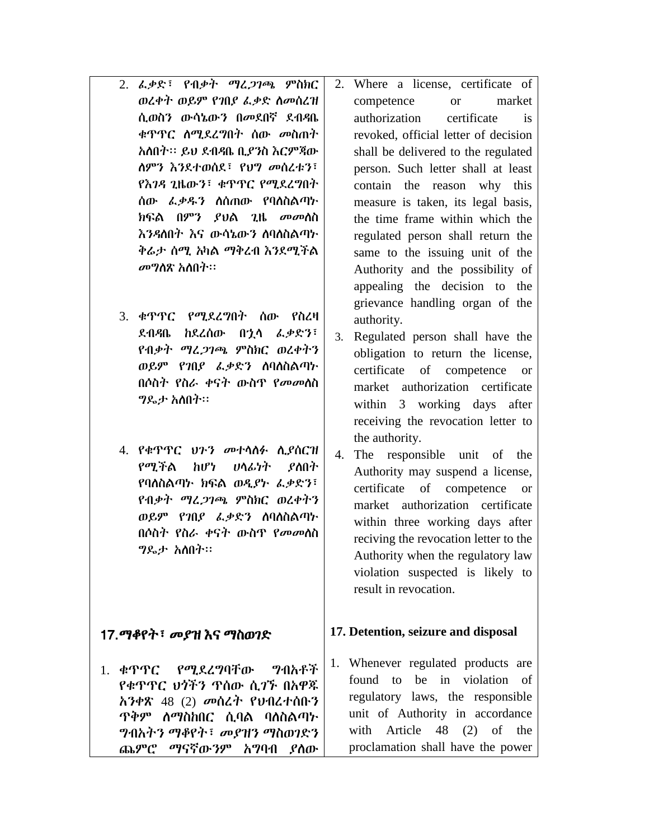- 2. ፈቃዴ፣ የብቃት ማረጋገጫ ምስክር ወረቀት ወይም የገበያ ፌቃድ ስመሰረዝ ሲወስን ውሳኔውን በመደበኛ ደብዳቤ ቁጥጥር ስሚደረግበት ሰው መስጠት አለበት፡፡ ይህ ደብዳቤ ቢያንስ እርምጃው ለምን እንደተወሰደ፣ የህግ መሰረቱን፣ የእገዳ ጊዜውን፣ ቁጥጥር የሚደረግበት ሰው ፌቃዱን ስሰጠው የባሰስልጣኑ ክፍል በምን ያህል *ጊ*ዜ *መመ*ነስ እንዳለበት እና ውሳኔውን ስባስስልጣኑ ቅሬታ ሰሚ አካል ማቅረብ እንደሚችል *መግ*ስጽ አስበት፡፡ 2. Where a license, certificate of competence or market authorization certificate is revoked, official letter of decision shall be delivered to the regulated person. Such letter shall at least contain the reason why this measure is taken, its legal basis, the time frame within which the regulated person shall return the same to the issuing unit of the Authority and the possibility of appealing the decision to the
- 3. ቁጥጥር የሚደረግበት ሰው የስረዛ ደብዳቤ ከደረሰው በኋላ ፌቃድን፣ የብቃት ማረጋገጫ ምስክር ወረቀትን ወይም የገበያ ፌቃድን ስባስስልጣኑ በሶስት የስራ ቀናት ውስጥ የ*መመ*ስስ ግዳታ አሇበት፡፡
- 4. የቁጥጥር ህጉን መተሳሰፉ ሲያሰርዝ የሚችል ከሆነ ሀሳፊነት ያስበት የባለስልጣኑ ክፍል ወዲያኑ ፌቃድን፣ የብቃት ማረጋገጫ ምስክር ወረቀትን ወይም የገበያ ፌቃድን ስባስስልጣኍ በሶስት የስራ ቀናት ውስጥ የመመስስ ግዳታ አሇበት፡፡

## 17.ማቆየት፣ መያዝ እና ማስወገዴ

1. ቁጥጥር የሚደረግባቸው ግብአቶች የቁጥጥር ህጎችን ጥሰው ሲገኙ በአዋጁ አንቀጽ 48 (2) መሰረት የህብረተሰቡን ጥቅም ስማስከበር ሲባል ባስስልጣኑ ግብአትን ማቆየት፣ መያዝን ማስወገዴን ጨምሮ ማናኛውንም አግባብ ያስው

- grievance handling organ of the authority.
- 3. Regulated person shall have the obligation to return the license, certificate of competence or market authorization certificate within 3 working days after receiving the revocation letter to the authority.
- 4. The responsible unit of the Authority may suspend a license, certificate of competence or market authorization certificate within three working days after reciving the revocation letter to the Authority when the regulatory law violation suspected is likely to result in revocation.

## **17. Detention, seizure and disposal**

1. Whenever regulated products are found to be in violation of regulatory laws, the responsible unit of Authority in accordance with Article 48 (2) of the proclamation shall have the power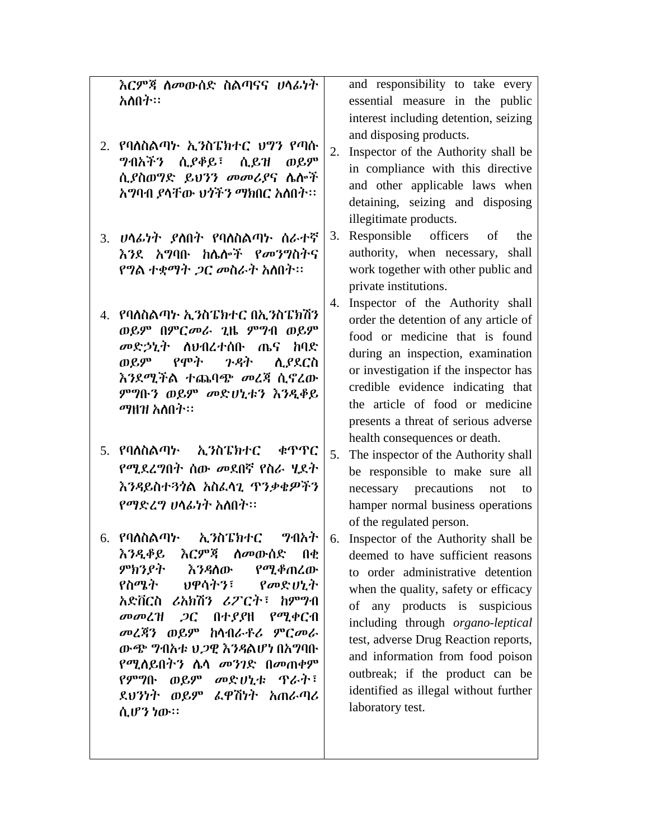| 2. | እርምጃ ስመውሰድ ስልጣናና ሀሳፊነት<br>አለበት።<br>የባለስልጣኑ ኢንስፔክተር ህግን የጣሱ<br><i>ግ</i> ብአችን ሲ <i>ያቆ</i> ይ፣ ሲይዝ<br>ወይም<br>ሲያስወግድ ይህንን መመሪያና ሴሎች<br>አግባብ ያላቸው ህጎችን ማክበር አስበት፡፡                       | 2. | and responsibility to take every<br>essential measure in the public<br>interest including detention, seizing<br>and disposing products.<br>Inspector of the Authority shall be<br>in compliance with this directive<br>and other applicable laws when<br>detaining, seizing and disposing                                                  |
|----|------------------------------------------------------------------------------------------------------------------------------------------------------------------------------------|----|--------------------------------------------------------------------------------------------------------------------------------------------------------------------------------------------------------------------------------------------------------------------------------------------------------------------------------------------|
|    | 3. <i>ሀላፊነት ያስ</i> በት የባስስልጣት ስራተኛ<br>እንደ አ <b>ግባቡ ከ</b> ሴሎች የመንግስትና<br>የግል ተቋማት <i>ጋ</i> ር መስራት አስበት፡፡                                                                            | 3. | illegitimate products.<br>Responsible officers<br>of<br>the<br>authority, when necessary, shall<br>work together with other public and<br>private institutions.                                                                                                                                                                            |
| 4. | የባለስልጣኑ ኢንስፔክተር በኢንስፔክሽን<br>ወይም በምርመራ ጊዜ ምግብ ወይም<br><i>መ</i> ድኃኒት ስህብረተሰቡ ጤና ከባድ<br>ወይም<br>የሞት ጉዳት<br>ሲያደርስ<br>እንደሚችል ተጨባጭ መረጃ ሲኖረው<br>ምግቡን ወይም መድሀኒቱን እንዲቆይ<br><i>ማ</i> ዘዝ አለበት፡፡ | 4. | Inspector of the Authority shall<br>order the detention of any article of<br>food or medicine that is found<br>during an inspection, examination<br>or investigation if the inspector has<br>credible evidence indicating that<br>the article of food or medicine<br>presents a threat of serious adverse<br>health consequences or death. |
|    | 5. የባለስልጣኑ ኢንስፔክተር ቁጥጥር<br>የሚደረግበት ሰው መደበኛ የስራ ሂደት<br>እንዳይስተ3ጎል አስፌሳጊ ጥንቃቄዎችን<br>የማድረግ ሀሳፊነት አስበት።                                                                                 | 5. | The inspector of the Authority shall<br>be responsible to make sure all<br>necessary precautions<br>not<br>to<br>hamper normal business operations                                                                                                                                                                                         |

6. የባለስልጣኑ ኢንስፔክተር ግብአት እንዱቆይ እርምጃ ሇመውሰዴ በቂ ምክንያት እንዳለው የሚቆጠረው የስሜት ህዋሳትን፣ የመዴሀኒት አዴቨርስ ሪአክሽን ሪፖርት፣ ከምግብ መመረዝ ጋር በተያያዘ የሚቀርብ መረጃን ወይም ከሊብራቶሪ ምርመራ ውጭ ግብአቱ ህጋዊ እንዲሌሆነ በአግባቡ የሚሰይበትን ሴሳ መንገድ በመጠቀም የምግቡ ወይም መዴሀኒቱ ጥራት፣ ዯህንነት ወይም ፈዋሽነት አጠራጣሪ ሲሆን ነው፡፡

of the regulated person. 6. Inspector of the Authority shall be deemed to have sufficient reasons to order administrative detention when the quality, safety or efficacy of any products is suspicious including through *organo-leptical* test, adverse Drug Reaction reports, and information from food poison outbreak; if the product can be identified as illegal without further laboratory test.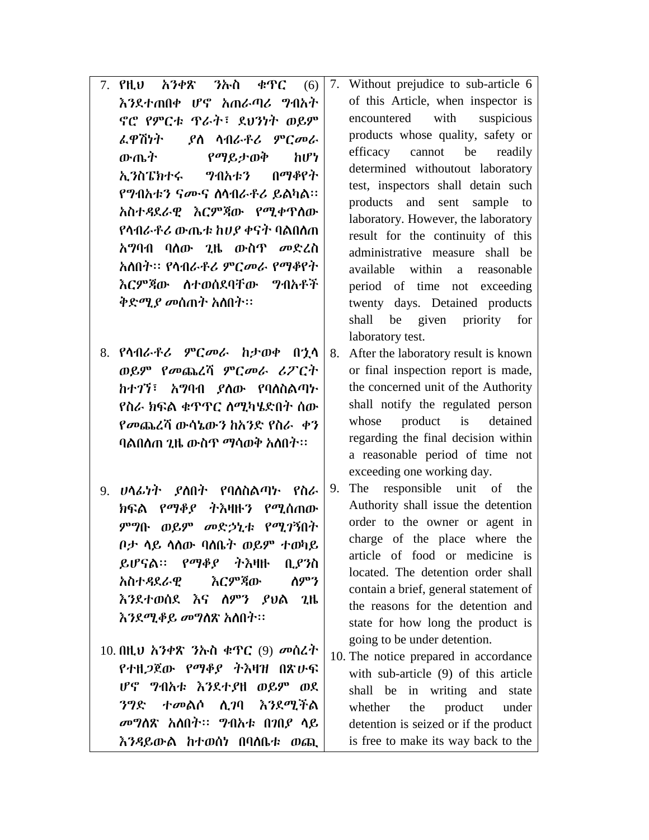- 7. የዚህ አንቀጽ ንኡስ ቁጥር (6) እንደተጠበቀ ሆኖ አጠራጣሪ ግብአት ኖሮ የምርቱ ጥራት፣ ደህንነት ወይም ፈዋሽነት ያስ ሳብራቶሪ ምር*መ*ራ ውጤት የማይታወቅ ከሆነ ኢንስፔክተሩ ግብአቱን በማቆየት የግብአቱን ናሙና ስሳብራቶሪ ይልካል፡፡ አስተዳደራዊ እርምጃው የሚቀጥለው የሳብራቶሪ ውጤቱ ከሀያ ቀናት ባልበስጠ አግባብ ባለው ጊዜ ውስጥ መድረስ አለበት፡፡ የላብራቶሪ ምርመራ የማቆየት እርምጃው ስተወሰደባቸው ግብአቶች ቅድሚ*ያ መ*ሰጠት አስበት፡፡ 7. Without prejudice to sub-article 6 of this Article, when inspector is
- 8. የሊብራቶሪ ምርመራ ከታወቀ በኋሊ ወይም የመጨረሻ ምርመራ ሪፖርት ከተገኘ፣ አግባብ ያስው የባስስልጣኑ የስራ ክፍል ቁጥጥር ስማካሄድበት ሰው የመጨረሻ ውሳኔውን ከአንዴ የስራ ቀን ባልበለጠ ጊዜ ውስጥ ማሳወቅ አለበት፡፡
- 9. ሀላፊነት ያስበት የባስስልጣኑ የስራ ክፍሌ የማቆያ ትእዛዙን የሚሰጠው ምግቡ ወይም መዴኃኒቱ የሚገኝበት ቦታ ሳይ ሳሰው ባሰቤት ወይም ተወካይ ይሆናሌ፡፡ የማቆያ ትእዛዙ ቢያንስ አስተዲዯራዊ እርምጃው ሇምን እንደተወሰደ እና ስምን ያህል ጊዜ እንደሚቆይ መግለጽ አለበት፡፡
- 10. በዚህ አንቀጽ ንኡስ ቁጥር (9) መሰረት የተዘጋጀው የማቆያ ትእዛዝ በጽሁፍ ሆኖ ግብአቱ እንደተያዘ ወይም ወደ ንግድ ተመልሶ ሲገባ እንደሚችል መግለጽ አለበት፡፡ ግብአቱ በገበያ ላይ እንዳይውል ከተወሰነ በባለቤቱ ወጪ
- encountered with suspicious products whose quality, safety or efficacy cannot be readily determined withoutout laboratory test, inspectors shall detain such products and sent sample to laboratory. However, the laboratory result for the continuity of this administrative measure shall be available within a reasonable period of time not exceeding twenty days. Detained products shall be given priority for laboratory test.
- 8. After the laboratory result is known or final inspection report is made, the concerned unit of the Authority shall notify the regulated person whose product is detained regarding the final decision within a reasonable period of time not exceeding one working day.
- 9. The responsible unit of the Authority shall issue the detention order to the owner or agent in charge of the place where the article of food or medicine is located. The detention order shall contain a brief, general statement of the reasons for the detention and state for how long the product is going to be under detention.
- 10. The notice prepared in accordance with sub-article (9) of this article shall be in writing and state whether the product under detention is seized or if the product is free to make its way back to the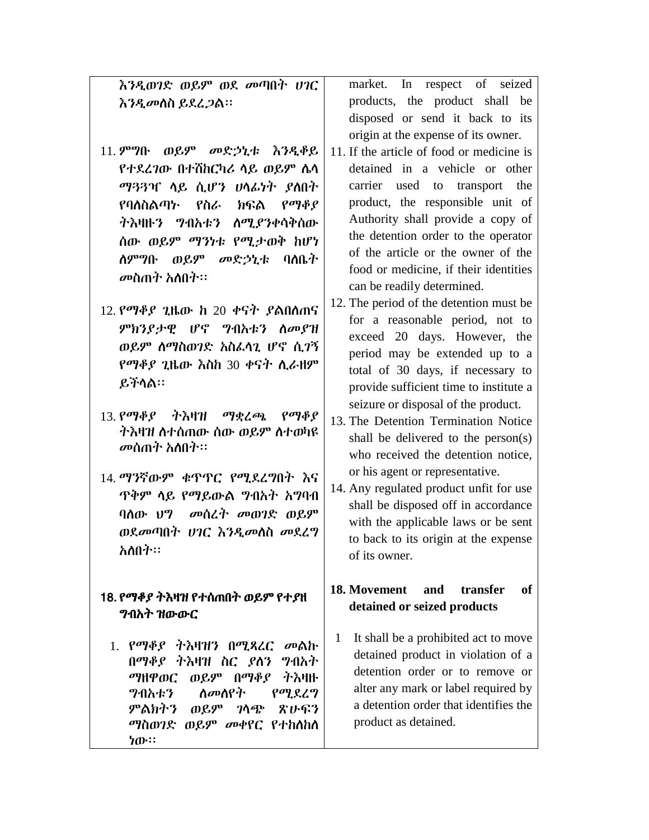| እንዲወገድ ወይም ወደ መጣበት ሀገር<br><i>እንዲመ</i> ስስ ይደፈ <i>ጋ</i> ል፡፡                                                                                                                                                                                                                                                                       | In<br>market.<br>respect of seized<br>products, the product shall be<br>disposed or send it back to its<br>origin at the expense of its owner.                                                                                                                                                                                                                                                                                                                                                                                                                                                               |
|---------------------------------------------------------------------------------------------------------------------------------------------------------------------------------------------------------------------------------------------------------------------------------------------------------------------------------|--------------------------------------------------------------------------------------------------------------------------------------------------------------------------------------------------------------------------------------------------------------------------------------------------------------------------------------------------------------------------------------------------------------------------------------------------------------------------------------------------------------------------------------------------------------------------------------------------------------|
| ወይም መድኃኒቱ እንዲቆይ<br>$11.9$ <sup>p</sup> $901$<br>የተደረገው በተሽከርካሪ ላይ ወይም ሴሳ<br><i>ማጓጓጒ</i> ላይ ሲሆን ሀላፊነት <i>ያ</i> ስበት<br>የባለስልጣታ የስራ<br>$\rho$ oy $\rho$<br>ክፍል<br>ሰው ወይም ማንነቱ የሚታወቅ ከሆነ<br><i>ስምግ</i> ቡ ወይም <i>መ</i> ድኃኒቱ ባስቤት<br><i>መ</i> ስጠት አስበት፡፡                                                                              | 11. If the article of food or medicine is<br>detained in a vehicle or other<br>carrier used to transport<br>the<br>product, the responsible unit of<br>Authority shall provide a copy of<br>the detention order to the operator<br>of the article or the owner of the<br>food or medicine, if their identities<br>can be readily determined.                                                                                                                                                                                                                                                                 |
| 12. የማቆይ ጊዜው ከ 20 ቀናት ይልበሰጠና<br>ምክንያታዊ ሆኖ ግብአቱን ስመያዝ<br>ወይም ስማስወንድ አስፌሳጊ ሆኖ ሲገኝ<br><i>የማቆያ ጊ</i> ዜው እስከ 30 ቀናት ሲራዘም<br>ይችሳል።<br>$13.$ የማቆያ ትእዛዝ ማቋረጫ<br>የማቆያ<br>ትእዛዝ ስተሰጠው ሰው ወይም ስተወካዩ<br><i>መ</i> ሰጠት አስበት።<br>14. ማንኛውም ቁጥጥር የሚደረግበት እና<br>ጥቅም ሳይ የማይውል ግብአት አግባብ<br>ባሰው ህግ መሰረት መወገድ ወይም<br>ወደመጣበት ሀገር እንዲመስስ መደረግ<br>አለበት። | 12. The period of the detention must be<br>for a reasonable period, not to<br>exceed 20 days. However, the<br>period may be extended up to a<br>total of 30 days, if necessary to<br>provide sufficient time to institute a<br>seizure or disposal of the product.<br>13. The Detention Termination Notice<br>shall be delivered to the person(s)<br>who received the detention notice,<br>or his agent or representative.<br>14. Any regulated product unfit for use<br>shall be disposed off in accordance<br>with the applicable laws or be sent<br>to back to its origin at the expense<br>of its owner. |
| 18. የማቆያ ትእዛዝ የተሰጠበት ወይም የተያዘ<br><b>ግብአት ዝውውር</b>                                                                                                                                                                                                                                                                               | 18. Movement<br>and<br>transfer<br>of<br>detained or seized products                                                                                                                                                                                                                                                                                                                                                                                                                                                                                                                                         |
| $1.$ የማቆያ ተእዛዝን በሚጻረር መልኩ<br>በማቆይ ትእዛዝ ስር ያስን<br><i>ግ</i> ብአት<br>ወይም በማቆያ<br>ネネリル<br><b>THPOC</b><br><u>ስመስየት</u><br>የሚደረግ<br><i>ግ</i> ብአቱን<br>ምልክትን ወይም <i>ገ</i> ሳጭ<br>8い63<br><i>ማ</i> ስወ <i>ገ</i> ድ ወይም <i>መቀየር</i> የተከሰከሰ                                                                                                   | It shall be a prohibited act to move<br>1<br>detained product in violation of a<br>detention order or to remove or<br>alter any mark or label required by<br>a detention order that identifies the<br>product as detained.                                                                                                                                                                                                                                                                                                                                                                                   |

ነው፡፡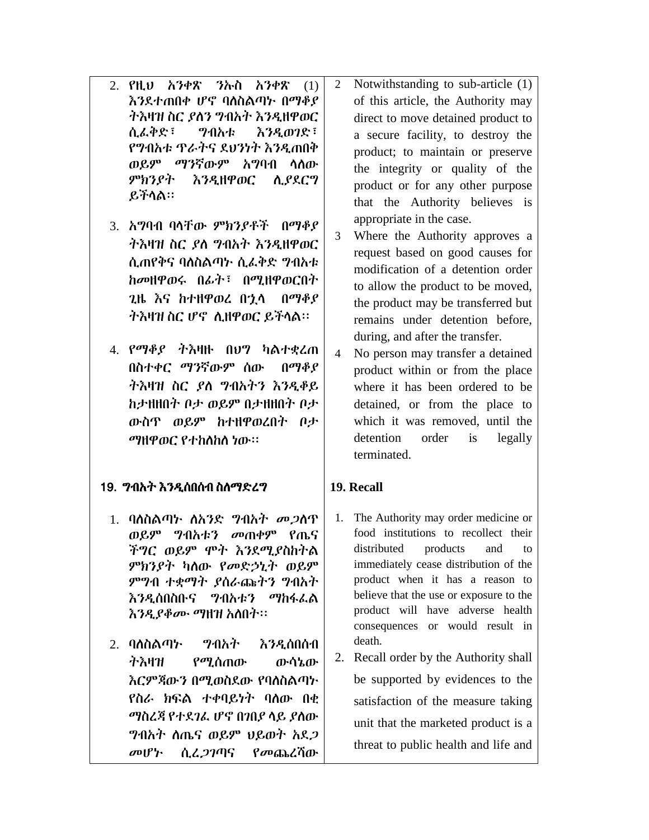- 2. የዚህ አንቀጽ ንኡስ አንቀጽ (1) እንደተጠበቀ ሆኖ ባለስልጣኑ በማቆያ ትእዛዝ ስር ያለን ግብአት እንዲዘዋወር ሲፈቅዴ፣ ግብአቱ እንዱወገዴ፣ የግብአቱ ጥራትና ዯህንነት እንዱጠበቅ ወይም ማንኛውም አግባብ ሳሰው ምክንያት እንዲዘዋወር ሊያደርግ ይችሊሌ፡፡
- 3. አግባብ ባሊቸው ምክንያቶች በማቆያ ትእዛዝ ስር ያለ ግብአት እንዲዘዋወር ሲጠየቅና ባለስልጣኑ ሲፈቅድ ግብአቱ ከመዘዋወሩ በፊት፣ በሚዘዋወርበት ጊዜ እና ከተዘዋወረ በኋሊ በማቆያ ትእዛዝ ስር ሆኖ ሉዘዋወር ይችሊሌ፡፡
- 4. የማቆያ ትእዛዙ በህግ ካሌተቋረጠ በስተቀር ማንኛውም ሰው በማቆያ ትእዛዝ ስር ያለ ግብአትን እንዲቆይ ከታዘዘበት ቦታ ወይም በታዘዘበት ቦታ ውስጥ ወይም ከተዘዋወረበት ቦታ ማዘዋወር የተከለከለ ነው።

## 19. ግብአት እንዱሰበሰብ ስሇማዴረግ

- 1. ባለስልጣኑ ለአንድ *ግ*ብአት *መጋ*ስጥ ወይም ግብአቱን መጠቀም የጤና ችግር ወይም ሞት እንደሚያስከትል ምክንያት ካስው የመድኃኒት ወይም ምግብ ተቋማት ያሰራጩትን ግብአት እንዱሰበስቡና ግብአቱን ማከፋፈሌ እንዲያቆሙ ማዘዝ አስበት፡፡
- 2. ባለስልጣኑ ግብአት እንዳሰበሰብ ትእዛዝ የሚሰጠው ውሳኔው እርምጃውን በሚወስደው የባለስልጣኍ የስራ ክፍል ተቀባይነት ባሰው በቂ ማስረጃ የተደገፈ ሆኖ በገበያ ላይ ያስው *ግ*ብአት ስጤና ወይም ህይወት አደ*ጋ* መሆኑ ሲረጋገጣና የመጨረሻው
- 2 Notwithstanding to sub-article (1) of this article, the Authority may direct to move detained product to a secure facility, to destroy the product; to maintain or preserve the integrity or quality of the product or for any other purpose that the Authority believes is appropriate in the case.
- 3 Where the Authority approves a request based on good causes for modification of a detention order to allow the product to be moved, the product may be transferred but remains under detention before, during, and after the transfer.
- 4 No person may transfer a detained product within or from the place where it has been ordered to be detained, or from the place to which it was removed, until the detention order is legally terminated.

## **19. Recall**

- 1. The Authority may order medicine or food institutions to recollect their distributed products and to immediately cease distribution of the product when it has a reason to believe that the use or exposure to the product will have adverse health consequences or would result in death.
- 2. Recall order by the Authority shall be supported by evidences to the satisfaction of the measure taking unit that the marketed product is a threat to public health and life and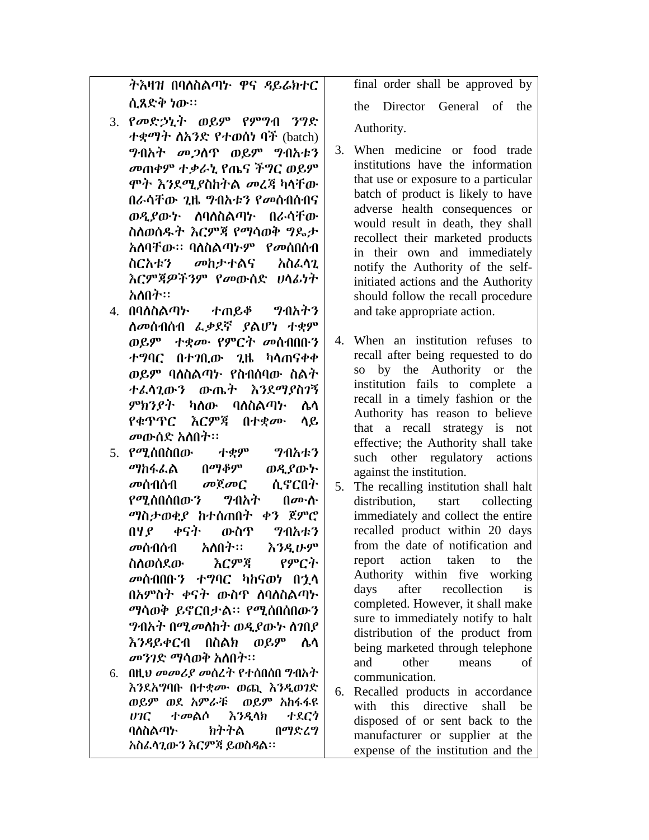ትእዛዝ በባለስልጣኑ ዋና ዳይሬክተር ሲጸዴቅ ነው፡፡

- 3. የመዴኃኒት ወይም የምግብ ንግዴ ተቋማት **ስ**አንድ የተወሰነ ባች (batch) ግብአት መጋሇጥ ወይም ግብአቱን መጠቀም ተቃራኒ የጤና ችግር ወይም ሞት እንደሚያስከትል መረጃ ካላቸው በራሳቸው ጊዜ ግብአቱን የመሰብሰብና ወዲያውኑ ስባስስልጣኑ በራሳቸው ስስወሰዱት እርምጃ የማሳወቅ ግዴታ አለባቸው፡፡ ባለስልጣኑም *የመ*ሰበሰብ ስርአቱን መከታተሌና አስፈሊጊ እርምጃዎችንም የመውሰዴ ሀሊፊነት አለበት፡፡
- 4. በባለስልጣኑ ተጠይቆ ግብአትን ስመሰብሰብ ፌቃደኛ ያልሆነ ተቋም ወይም ተቋሙ የምርት መሰብበቡን ተግባር በተገቢው ጊዜ ካሊጠናቀቀ ወይም ባለስልጣኑ የስብሰባው ስልት ተፈላጊውን ውጤት እንደማያስገኝ *ምክንያት* ካለው ባለስልጣ**ኑ ሴ**ላ የቁጥጥር እርምጃ በተቋሙ ሊይ መውሰድ አስበት፡፡
- 5. የሚሰበስበው ተቋም ግብአቱን ማከፋፈሌ በማቆም ወዱያውኑ መሰብሰብ መጀመር ሲኖርበት የሚሰበሰበውን ግብአት በሙለ ማስታወቂያ ከተሰጠበት ቀን ጀምሮ በሃያ ቀናት ውስጥ ግብአቱን *መ*ሰብሰብ አለበት፡፡ እ*ንዲ*ሁም ስስወሰደው እርምጃ የምርት መሰብበቡን ተግባር ካከናወነ በኋሊ በአምስት ቀናት ውስጥ ሰባስስልጣ፦ ማሳወቅ ይኖርበታሌ፡፡ የሚሰበሰበውን ግብአት በሚመሇከት ወዱያውኑ ሇገበያ እንዲይቀርብ በስሌክ ወይም ላሊ *መንገ*ድ ማሳወቅ አስበት፡፡
- 6. በዚህ መመሪያ መሰረት የተሰበሰበ ግብአት እንዯአግባቡ በተቋሙ ወጪ እንዱወገዴ ወይም ወዯ አምራቹ ወይም አከፋፋዩ ሀገር ተመልሶ እንዲላክ ተደርጎ ባለስልጣኑ ክትትል በማድረግ አስፈሊጊውን እርምጃ ይወስዲሌ፡፡

final order shall be approved by the Director General of the Authority.

- 3. When medicine or food trade institutions have the information that use or exposure to a particular batch of product is likely to have adverse health consequences or would result in death, they shall recollect their marketed products in their own and immediately notify the Authority of the selfinitiated actions and the Authority should follow the recall procedure and take appropriate action.
- 4. When an institution refuses to recall after being requested to do so by the Authority or the institution fails to complete a recall in a timely fashion or the Authority has reason to believe that a recall strategy is not effective; the Authority shall take such other regulatory actions against the institution.
- 5. The recalling institution shall halt distribution, start collecting immediately and collect the entire recalled product within 20 days from the date of notification and report action taken to the Authority within five working days after recollection is completed. However, it shall make sure to immediately notify to halt distribution of the product from being marketed through telephone and other means of communication.
- 6. Recalled products in accordance with this directive shall be disposed of or sent back to the manufacturer or supplier at the expense of the institution and the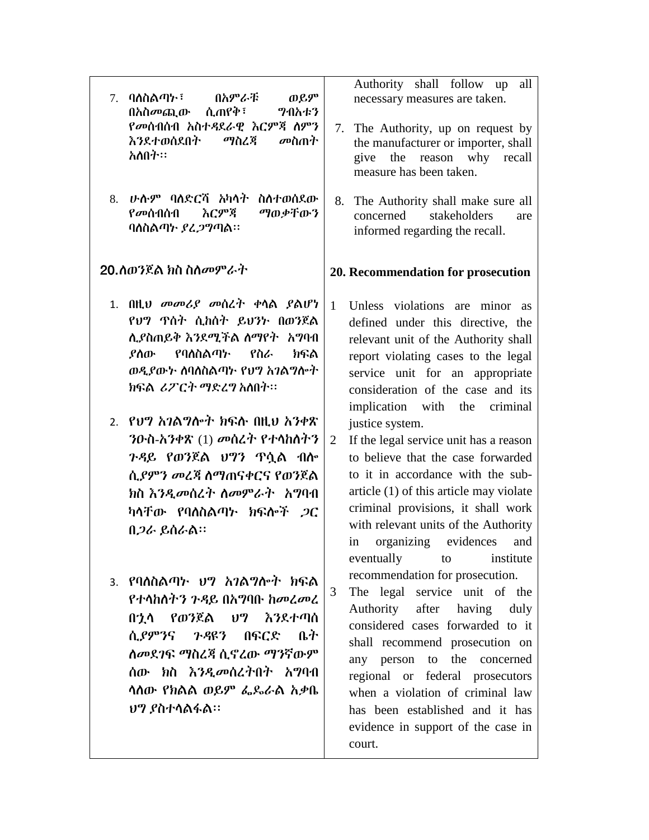| 8. | $7.$ ባለስልጣ $r$ ፣<br>በአምራቹ<br>ወይም<br>ሲጠየቅ፣<br>ግብአቱን<br>በአስ <i>መጨ</i> ው<br>የመሰብሰብ አስተዳደራዊ እርምጃ ስምን<br>እንደተወሰደበት<br>ማስረጃ<br>መስጠት<br>አስበት።<br><i>ሁ</i> ሱም ባለድርሻ አካላት<br>ስስተወሰደው<br>ማወቃቸውን<br><i>የመ</i> ሰብሰብ<br>እርምጃ<br>ባለስልጣኑ ያፈ <i>ጋግ</i> ጣል፡፡                                                                                                                                                                                                                                                                                                                                                                                         | 8.                     | Authority shall follow up<br>all<br>necessary measures are taken.<br>7. The Authority, up on request by<br>the manufacturer or importer, shall<br>give<br>the<br>reason why<br>recall<br>measure has been taken.<br>The Authority shall make sure all<br>concerned<br>stakeholders<br>are<br>informed regarding the recall.                                                                                                                                                                                                                                                                                                                                                                                                                                                                                                                                                                                                                                                            |
|----|-------------------------------------------------------------------------------------------------------------------------------------------------------------------------------------------------------------------------------------------------------------------------------------------------------------------------------------------------------------------------------------------------------------------------------------------------------------------------------------------------------------------------------------------------------------------------------------------------------------------------------------|------------------------|----------------------------------------------------------------------------------------------------------------------------------------------------------------------------------------------------------------------------------------------------------------------------------------------------------------------------------------------------------------------------------------------------------------------------------------------------------------------------------------------------------------------------------------------------------------------------------------------------------------------------------------------------------------------------------------------------------------------------------------------------------------------------------------------------------------------------------------------------------------------------------------------------------------------------------------------------------------------------------------|
|    | 20.ለወንጀል ክስ ስለመምራተ                                                                                                                                                                                                                                                                                                                                                                                                                                                                                                                                                                                                                  |                        | 20. Recommendation for prosecution                                                                                                                                                                                                                                                                                                                                                                                                                                                                                                                                                                                                                                                                                                                                                                                                                                                                                                                                                     |
|    | 1. በዚህ መመሪያ መሰረት ቀሳል ያልሆነ<br>የህግ ጥሰት ሲከሰት ይህንት በወንጀል<br>ሊያስጠይቅ እንደሚችል ስማየት ` አግባብ<br>የባለስልጣኍ<br>የስራ<br>ያስው<br>ክፍል<br>ወዲያውኑ ስባስስልጣኑ የህግ አገልግሎት<br>ክፍል ሪፖርት ማድረግ አስበት፡፡<br>2.   የህግ አገልግሎት ክፍሱ በዚህ አንቀጽ<br>$70$ ፡ስ-አንቀጽ $(1)$ መሰረት የተላከሰትን<br><i>ጉዳ</i> ይ የወንጀል <b>ሀ</b> ግን ጥሷል ብሎ<br>ሲያምን መረጃ ስማጠናቀርና የወንጀል<br>ክስ እንዲመሰረት ስመምራት አግባብ<br>ካላቸው የባለስልጣ፦ ክፍሎች <i>ጋ</i> ር<br>በ <i>ጋራ</i> ይሰራል።<br>3. የባለስልጣ፦ ህግ አ <i>ገ</i> ልግሎተ ክፍል<br>የተሳከሰትን ንዳይ በአግባቡ ከመረመረ<br>በኋሳ የወንጀል ህግ እንደተጣሰ<br>ሲያምንና <i>ጉዳ</i> ዩን<br>በፍርድ<br>ቤት<br><i>ስመደገ</i> ፍ ማስረጃ ሲኖረው ማንኛውም<br>ሰው ክስ እንዲመሰረተበት አግባብ<br><u>ላለው የክልል ወይም ፌጼራል አቃቤ</u><br><u>ህግ ያስተሳልፋል፡፡</u> | $\mathbf{1}$<br>2<br>3 | Unless violations are minor as<br>defined under this directive, the<br>relevant unit of the Authority shall<br>report violating cases to the legal<br>service unit for an appropriate<br>consideration of the case and its<br>implication with the criminal<br>justice system.<br>If the legal service unit has a reason<br>to believe that the case forwarded<br>to it in accordance with the sub-<br>article (1) of this article may violate<br>criminal provisions, it shall work<br>with relevant units of the Authority<br>organizing evidences<br>in<br>and<br>eventually<br>to<br>institute<br>recommendation for prosecution.<br>The legal service unit of the<br>Authority<br>after<br>having<br>duly<br>considered cases forwarded to it<br>shall recommend prosecution on<br>the<br>to<br>concerned<br>any person<br>regional or federal prosecutors<br>when a violation of criminal law<br>has been established and it has<br>evidence in support of the case in<br>court. |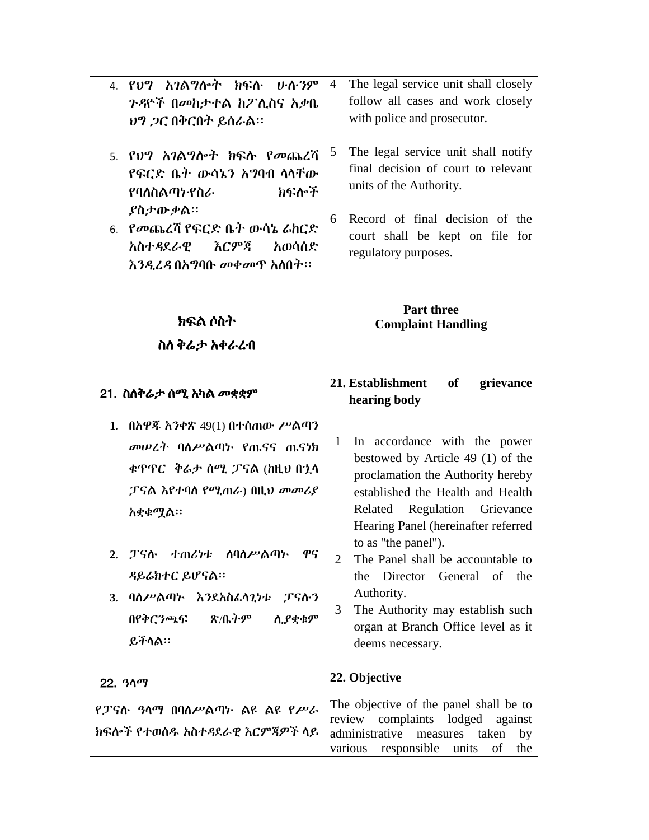| 4. የ <i>ህግ አገ</i> ል <i>ግ</i> ሎት ክፍሉ ሁሉ <i>ን</i> ም                                                                                                                                             | The legal service unit shall closely<br>4                                                                                                                                                                     |
|-----------------------------------------------------------------------------------------------------------------------------------------------------------------------------------------------|---------------------------------------------------------------------------------------------------------------------------------------------------------------------------------------------------------------|
| <i>ጉዳ</i> ዮች በመከታተል ከፖሊስና አቃቤ                                                                                                                                                                 | follow all cases and work closely                                                                                                                                                                             |
| ህግ ጋር በቅርበት ይሰራል፡፡                                                                                                                                                                            | with police and prosecutor.                                                                                                                                                                                   |
| 5. የህግ አገልግሎት ክፍሉ የመጨረሻ<br>የፍርድ ቤት ውሳኔን አማባብ ሳሳቸው<br>ክፍሎች<br>የባለስልጣታየስራ<br><i>ያ</i> ስታውቃል።<br>6. የመጨረሻ የፍርድ ቤት ውሳኔ ራከርድ<br>እርምጃ<br>አወሳሰድ<br>አስተዳደራዊ<br><i>እንዲረዳ</i> በአማባቡ <i>መቀመ</i> ጥ አስበት፡፡ | The legal service unit shall notify<br>5<br>final decision of court to relevant<br>units of the Authority.<br>Record of final decision of the<br>6<br>court shall be kept on file for<br>regulatory purposes. |
| ክፍል ሶስት<br>ስስ ቅሬታ አቀራረብ                                                                                                                                                                       | <b>Part three</b><br><b>Complaint Handling</b>                                                                                                                                                                |
| 21. ስስቅሬታ ሰሚ አካል መቋቋም                                                                                                                                                                         | 21. Establishment<br>of<br>grievance<br>hearing body                                                                                                                                                          |
| 1. በአዋጁ አንቀጽ 49(1) በተሰጠው ሥልጣን                                                                                                                                                                 |                                                                                                                                                                                                               |
| መሠረት ባሰሥልጣት የጤናና ጤናነክ                                                                                                                                                                         | In accordance with the power<br>1                                                                                                                                                                             |
| ቁጥጥር ቅራታ ሰሚ ፓናል (ከዚህ በኋላ                                                                                                                                                                      | bestowed by Article 49 (1) of the                                                                                                                                                                             |
|                                                                                                                                                                                               | proclamation the Authority hereby                                                                                                                                                                             |
| ፓናል እየተባለ የሚጠራ) በዚህ መመሪያ                                                                                                                                                                      | established the Health and Health                                                                                                                                                                             |
| <b>አቋቁ</b> ሟል።                                                                                                                                                                                | Related Regulation Grievance                                                                                                                                                                                  |
|                                                                                                                                                                                               | Hearing Panel (hereinafter referred                                                                                                                                                                           |
| ተጠሪካቱ ስባስሥልጣኮ<br>ዋና<br>2.<br>ፓናሱ                                                                                                                                                              | to as "the panel").<br>The Panel shall be accountable to<br>2                                                                                                                                                 |
| ዳይሬክተር ይሆናል።                                                                                                                                                                                  | Director<br>of<br>General<br>the<br>the                                                                                                                                                                       |
| ባለሥልጣኑ እንደአስፌሳጊነቱ<br><b>3.</b><br>ፓናሱን                                                                                                                                                        | Authority.                                                                                                                                                                                                    |
|                                                                                                                                                                                               | The Authority may establish such<br>3 <sup>1</sup>                                                                                                                                                            |
| ጽ/ቤትም<br>በየቅርንጫፍ<br>ሲያቋቁም                                                                                                                                                                     | organ at Branch Office level as it                                                                                                                                                                            |
| ይችሳል።                                                                                                                                                                                         | deems necessary.                                                                                                                                                                                              |
|                                                                                                                                                                                               |                                                                                                                                                                                                               |
| 22. ዓላማ                                                                                                                                                                                       | 22. Objective                                                                                                                                                                                                 |
|                                                                                                                                                                                               |                                                                                                                                                                                                               |
|                                                                                                                                                                                               |                                                                                                                                                                                                               |
| የፓናሱ ዓላማ በባስሥልጣት ልዩ ልዩ የሥራ<br>ክፍሎች የተወሰዱ አስተዳደራዊ እርምጃዎች ላይ                                                                                                                                    | The objective of the panel shall be to<br>review complaints lodged against                                                                                                                                    |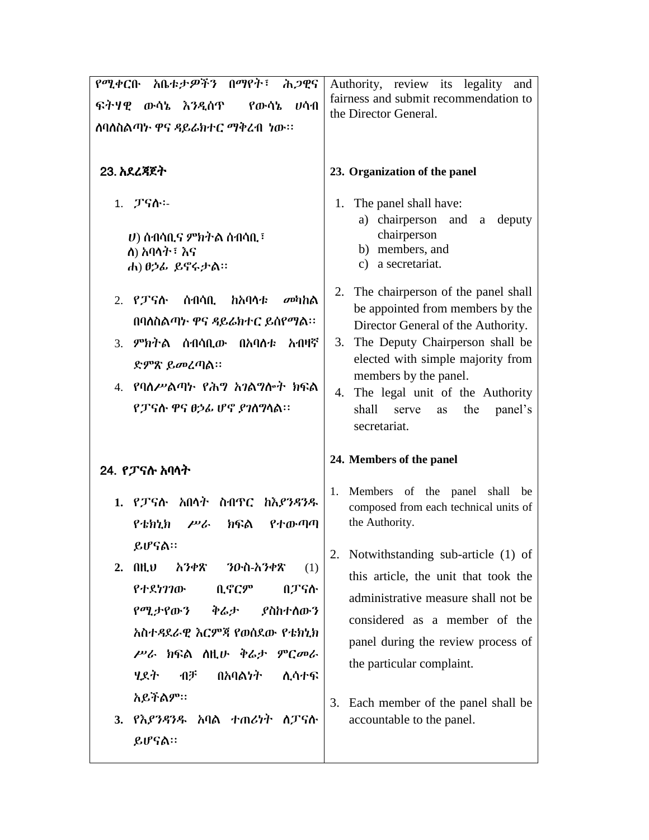| fairness and submit recommendation to<br>the Director General.<br>23. Organization of the panel<br>1. The panel shall have:<br>a) chairperson and<br>deputy<br>a                                                                                                                                                                                                        |
|-------------------------------------------------------------------------------------------------------------------------------------------------------------------------------------------------------------------------------------------------------------------------------------------------------------------------------------------------------------------------|
|                                                                                                                                                                                                                                                                                                                                                                         |
|                                                                                                                                                                                                                                                                                                                                                                         |
|                                                                                                                                                                                                                                                                                                                                                                         |
| chairperson<br>b) members, and<br>c) a secretariat.<br>2. The chairperson of the panel shall<br>be appointed from members by the<br>Director General of the Authority.<br>The Deputy Chairperson shall be<br>elected with simple majority from<br>members by the panel.<br>4. The legal unit of the Authority<br>shall<br>the<br>panel's<br>serve<br>as<br>secretariat. |
| 24. Members of the panel                                                                                                                                                                                                                                                                                                                                                |
| Members of the panel shall<br>be<br>composed from each technical units of<br>the Authority.                                                                                                                                                                                                                                                                             |
| 2. Notwithstanding sub-article (1) of<br>this article, the unit that took the<br>administrative measure shall not be                                                                                                                                                                                                                                                    |
| considered as a member of the                                                                                                                                                                                                                                                                                                                                           |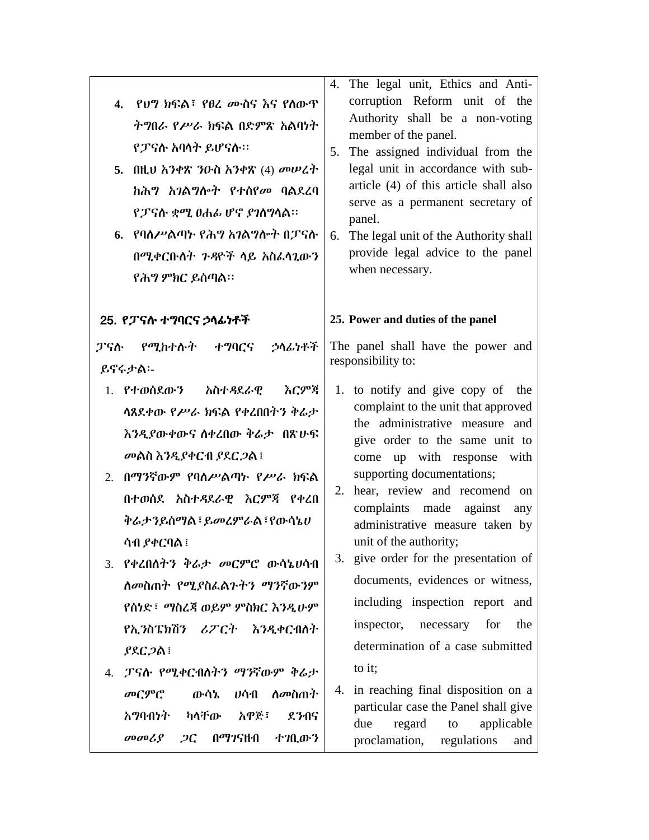|                                                   | The legal unit, Ethics and Anti-<br>4.                                |
|---------------------------------------------------|-----------------------------------------------------------------------|
| 4. የህግ ክፍል፣ የፀረ ሙስና እና የሰውጥ                       | corruption Reform unit of the                                         |
| ትግበራ የሥራ ክፍል በድምጽ አልባነት                           | Authority shall be a non-voting<br>member of the panel.               |
| የፓናሱ አባሳት ይሆናሱ።                                   | The assigned individual from the<br>5.                                |
| 5. በዚህ አንቀጽ ንዑስ አንቀጽ (4) መሠረት                     | legal unit in accordance with sub-                                    |
| <i>ከሕግ አገ</i> ል <i>ግ</i> ሎት የተሰየ <i>መ</i> ባልደረባ   | article (4) of this article shall also                                |
| የፓናሱ ቋሚ ፀሐፊ ሆኖ ያገስግሳል።                            | serve as a permanent secretary of<br>panel.                           |
| 6.   የባለሥልጣኑ የሕግ አገልግሎት በፓናሱ                      | The legal unit of the Authority shall<br>6.                           |
| በሚቀርቡስት ጉዳዮች ሳይ አስፈሳጊውን                           | provide legal advice to the panel                                     |
| የሕግ ምክር ይሰጣል።                                     | when necessary.                                                       |
|                                                   |                                                                       |
| 25. የፓናሱ ተግባርና ኃላፊነቶች                             | 25. Power and duties of the panel                                     |
| ፓናሱ የሚከተሱት<br>ተግባርና ኃሳፊነቶች                        | The panel shall have the power and                                    |
| ይኖሩታል፡-                                           | responsibility to:                                                    |
| 1. የተወሰደውን አስተዳደራዊ እርምጃ                           | 1. to notify and give copy of the                                     |
| ሳጸደቀው የሥራ ክፍል የቀረበበትን ቅሬታ                         | complaint to the unit that approved                                   |
| <i>እንዲያ</i> ውቀውና ስቀረበው ቅሬታ -በጽሁፍ                  | the administrative measure and                                        |
| መልስ እንዲያቀርብ ያደር <i>ጋ</i> ል ፤                      | give order to the same unit to<br>come up with response with          |
| በማንኛውም የባለሥልጣኮ የሥራ ክፍል<br>2.                      | supporting documentations;                                            |
| በተወሰደ አስተዳደራዊ እርምጃ የቀረበ                           | hear, review and recomend on<br>2.                                    |
| ቅሬታንይሰማል፣ይመረምራል፣የውሳኔሀ                             | complaints made against<br>any<br>administrative measure taken by     |
| ሳብ ያቀርባል ፤                                        | unit of the authority;                                                |
| 3. የቀረበሰትን ቅሬታ መርምሮ ውሳኔሀሳብ                        | 3. give order for the presentation of                                 |
| <i>ስመ</i> ስጠት የሚያስፌልጉትን ማንኛውንም                    | documents, evidences or witness,                                      |
| የሰነድ፣ ማስረጃ ወይም ምስክር እንዲሁም                         | including inspection report and                                       |
| የኢንስፔክሽን ሪፖርት እንዲቀርብስት                            | inspector, necessary for<br>the                                       |
| ያደርጋል፤                                            | determination of a case submitted                                     |
| ፓናሱ የሚቀርብስትን ማንኛውም ቅሬታ<br>4.                      | to it;                                                                |
| መርምሮ<br>ውሳኔ<br>ሀሳብ<br><i>ስመ</i> ስጠት               | 4. in reaching final disposition on a                                 |
| አማባብነት ካሳቸው አዋጅ፣<br>ደንብና                          | particular case the Panel shall give                                  |
| በ <i>ጣገ</i> ናዘብ<br>ተገቢውን<br>መመሪያ<br>$\mathcal{L}$ | regard<br>applicable<br>due<br>to<br>proclamation, regulations<br>and |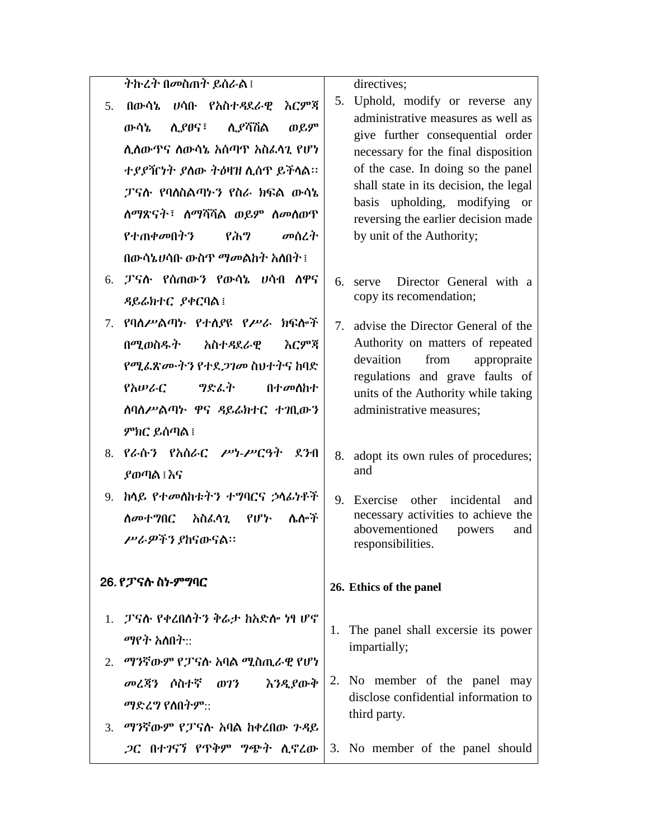| ትኩረት በመስጠት ይሰራል፤<br>directives;                                           |             |
|---------------------------------------------------------------------------|-------------|
| 5. Uphold, modify or reverse any<br>ሀሳቡ የአስተዳደራዊ<br>እርምጃ<br>በውሳኔ<br>5.    |             |
| administrative measures as well as<br>ሲ.ዖሻሽል<br>ሊያፀና፣<br>ወይም<br>ውሳኔ       |             |
| give further consequential order<br>ሲለውጥና ለውሳኔ አሰጣጥ አስፌሳጊ የሆነ             |             |
| necessary for the final disposition<br>of the case. In doing so the panel |             |
| ተያያዥነት ያስው ትዕዛዝ ሲሰዋ ይችላል።<br>shall state in its decision, the legal       |             |
| ፓናሱ የባለስልጣኑን የስራ ክፍል ውሳኔ<br>basis upholding, modifying or                 |             |
| <u>ለማጽናት፣ ለማሻሻል ወይም ለመለወጥ</u><br>reversing the earlier decision made      |             |
| by unit of the Authority;<br><u>የተጠቀመበትን</u><br>የሕግ<br>መሰረት               |             |
| በውሳኔሀሳቡ ውስጥ ማመልከት አለበት ፤                                                  |             |
| 6. ፓናሱ የሰጠውን የውሳኔ ሀሳብ ሰዋና<br>Director General with a<br>6.<br>serve       |             |
| copy its recomendation;<br>ዳይሬክተር ያቀርባል፤                                  |             |
| 7. የባለሥልጣኑ የተለያዩ የሥራ ክፍሎች<br>advise the Director General of the<br>7.     |             |
| Authority on matters of repeated<br>በ <b>ሚወስ</b> ዱት<br>አስተዳደራዊ<br>እርምጃ    |             |
| devaition<br>from<br><i>የሚፌጽሙትን</i> የተደ <i>ጋገመ</i> ስህተትና ከባድ              | appropraite |
| regulations and grave faults of<br>ግድፌት<br>የአሠራር<br>በተመስከተ                |             |
| units of the Authority while taking                                       |             |
| administrative measures;<br>ስባስሥልጣኮ ዋና ዳይሬክተር ተገቢውን                       |             |
| ምክር ይሰጣል ፤                                                                |             |
| 8. የራሱን የአሰራር <i>ሥነ-ሥርዓት</i> ደንብ<br>8. adopt its own rules of procedures; |             |
| and<br>ያወጣል ፡ እና                                                          |             |
| 9. ከሳይ የተመለከቱትን ተግባርና ኃሳፊነቶች<br>9. Exercise other incidental              | and         |
| necessary activities to achieve the<br>ሌሎች<br>ለመተግበር አስፌሳጊ የሆኑ            |             |
| abovementioned<br>powers<br>ሥራዎችን ያከናውናል።<br>responsibilities.            | and         |
|                                                                           |             |
| 26. የፓናሉ ስነ-ምግባር<br>26. Ethics of the panel                               |             |
|                                                                           |             |
| 1.   ፓናሱ የቀረበስትን ቅሬታ ከአድሎ ነፃ ሆኖ                                           |             |
| The panel shall excersie its power<br>1.<br><i>ማ</i> የት አለበት::            |             |
|                                                                           |             |
| impartially;<br>2. ማንኛውም የፓናሉ አባል ሚስጢራዊ የሆነ                               |             |
| 2. No member of the panel may<br>መረጃን ሶስተኛ ወገን እንዲያውቅ                     |             |
| disclose confidential information to<br><i>ማ</i> ድረግ የሰበትም::              |             |
| third party.<br>3. ማንኛውም የፓናሱ አባል ከቀረበው ጉዳይ                               |             |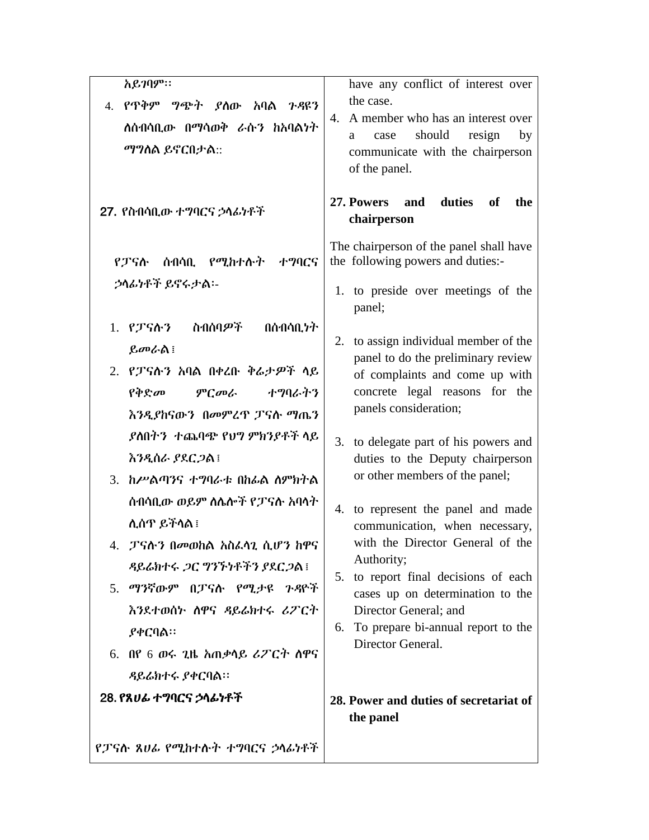| አይንባም፡፡<br>4. የጥቅም ግጭት ያስው አባል ጉዳዩን<br>ለሰብሳቢው በማሳወቅ ራሱን ከአባልነት<br>ማግለል ይኖርበታል:: | have any conflict of interest over<br>the case.<br>4. A member who has an interest over<br>should<br>resign<br>by<br>case<br>a<br>communicate with the chairperson<br>of the panel. |
|---------------------------------------------------------------------------------|-------------------------------------------------------------------------------------------------------------------------------------------------------------------------------------|
| 27. የስብሳቢው ተግባርና ኃሳፊነቶች                                                         | duties<br>27. Powers<br>of<br>and<br>the<br>chairperson                                                                                                                             |
| የፓናሉ ሰብሳቢ የሚከተሉት ተግባርና                                                          | The chairperson of the panel shall have<br>the following powers and duties:-                                                                                                        |
| ኃሳፊነቶች ይኖሩታል፡-                                                                  | 1. to preside over meetings of the<br>panel;                                                                                                                                        |
| በሰብሳቢነት<br>ስብሰባዎች<br>1. የፓና <b></b> ትን                                          |                                                                                                                                                                                     |
| ይመራል!                                                                           | to assign individual member of the<br>2.<br>panel to do the preliminary review                                                                                                      |
| 2. የፓናሱን አባል በቀረቡ ቅሬታዎች ላይ                                                      | of complaints and come up with                                                                                                                                                      |
| የቅድመ<br>ምርመራ<br>ተግባራትን                                                          | concrete legal reasons for the                                                                                                                                                      |
| እንዲያከናውን በመምረዋ ፓናሱ ማጤን                                                          | panels consideration;                                                                                                                                                               |
| <i>ያስ</i> በትን ተጨባጭ የህግ ምክንያቶች ሳይ                                                | to delegate part of his powers and<br>3.                                                                                                                                            |
| እንዲሰራ ያደር <i>ጋ</i> ል፤                                                           | duties to the Deputy chairperson                                                                                                                                                    |
| 3. ከሥልጣንና ተግባራቱ በከፊል ስምክትል                                                      | or other members of the panel;                                                                                                                                                      |
| ሰብሳቢው ወይም ስሴሎች የፓናሱ አባሳት                                                        | 4. to represent the panel and made                                                                                                                                                  |
| ሲሰጥ ይችሳል ፡                                                                      | communication, when necessary,                                                                                                                                                      |
| <i>ፓና</i> ሱን በመወከል አስራሳጊ ሲሆን ከዋና<br>4.                                          | with the Director General of the                                                                                                                                                    |
| ዳይሬክተሩ ጋር ግንኙነቶችን ያደርጋል ፡                                                       | Authority;<br>5. to report final decisions of each                                                                                                                                  |
| 5. ማንኛውም በፓናሉ የሚታዩ ንዳዮች                                                         | cases up on determination to the                                                                                                                                                    |
| እንደተወሰኑ ስዋና ዳይሬክተሩ ሪፖርት                                                         | Director General; and                                                                                                                                                               |
| <b>ያቀርባል።</b>                                                                   | 6. To prepare bi-annual report to the                                                                                                                                               |
| 6. በየ 6 ወሩ ጊዜ አጠቃሳይ ሪፖርት ሰዋና                                                    | Director General.                                                                                                                                                                   |
| ዳይሬክተሩ ያቀርባል።                                                                   |                                                                                                                                                                                     |
| 28. የጸሀፊ ተግባርና ኃሳፊነቶች                                                           | 28. Power and duties of secretariat of<br>the panel                                                                                                                                 |
| የፓናሱ ጸሀራ የሚከተሱት ተግባርና ኃሳፊነቶች                                                    |                                                                                                                                                                                     |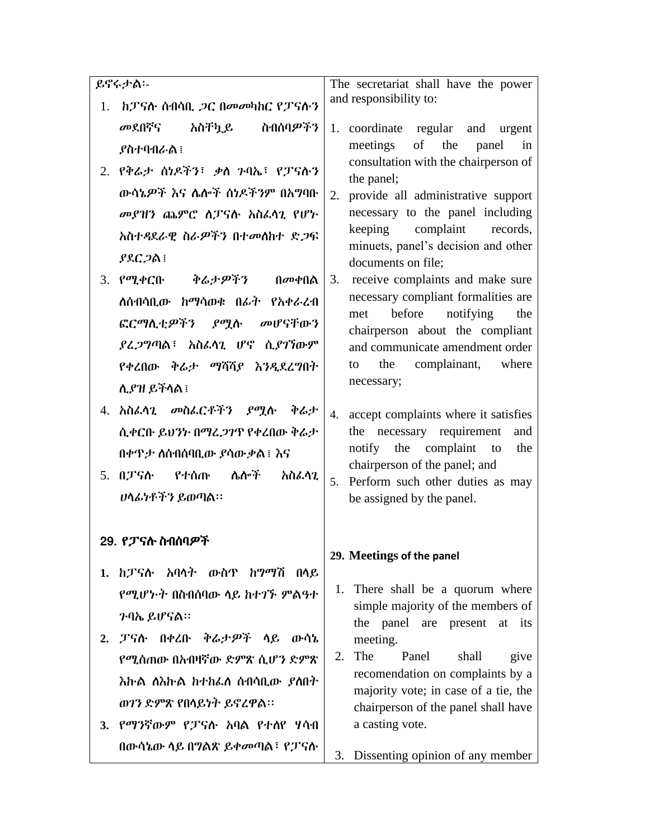| ይኖሩታል፡-                                       | The secretariat shall have the power                                  |
|-----------------------------------------------|-----------------------------------------------------------------------|
| 1. ከፓናስ ሰብሳቢ <i>ጋ</i> ር በመመካከር የፓናስ ን         | and responsibility to:                                                |
| መደበኛና<br>አስቸኳይ ስብሰባዎችን                        | 1. coordinate regular and urgent                                      |
| ያስተባብራል ፡                                     | of the<br>meetings<br>panel<br>in                                     |
| 2. የቅሬታ ሰነዶችን፣ ቃስ ንባኤ፣ የፓናሱን                  | consultation with the chairperson of<br>the panel;                    |
| ውሳኔዎች እና ሌሎች ሰነዶችንም በአግባቡ                     | 2. provide all administrative support                                 |
| መያዝን ጨምሮ ስፓናሱ አስራሳጊ የሆኮ                       | necessary to the panel including                                      |
| <u>አስተዳደራዊ ስራዎችን በተመለከተ ድ<i>ጋ</i>ፍ</u>        | keeping complaint<br>records,                                         |
| ያደር ጋል ፤                                      | minuets, panel's decision and other<br>documents on file;             |
| ቅሬታዎችን በመቀበል<br>3. የሚቀርቡ                      | 3.<br>receive complaints and make sure                                |
| ስስብሳቢው ከማሳወቁ በራት የአቀራረብ                       | necessary compliant formalities are                                   |
| ፎርማሲቲዎችን ያሟሉ መሆናቸውን                           | before notifying<br>the<br>met                                        |
| ያፈ <i>ጋግ</i> ጣል፣ አስፌሳጊ ሆኖ ሲ <i>ያገ</i> ኘውም     | chairperson about the compliant<br>and communicate amendment order    |
| የቀረበው ቅሬታ ማሻሻያ እንዲደረግበት                       | complainant,<br>to the<br>where                                       |
| ሲያዝ ይችላል ፤                                    | necessary;                                                            |
|                                               |                                                                       |
| 4. አስራሳጊ <i>መ</i> ስራርቶችን <i>ያሚ</i> ሱ<br>やんナ   | 4. accept complaints where it satisfies                               |
| ሲቀርቡ ይህንኮ በማፈ <i>ጋገ</i> ጥ የቀረበው ቅራታ           | the necessary requirement<br>and<br>notify the complaint<br>the<br>to |
| በቀዋታ ስሰብሰባቢው ያሳውቃል፤ እና                        | chairperson of the panel; and                                         |
| 5. በፓናስ የተሰጡ<br>ሴሎች<br>አስፌሳጊ                  | 5. Perform such other duties as may                                   |
| ሀሳፊነቶችን ይወጣል።                                 | be assigned by the panel.                                             |
|                                               |                                                                       |
| 29. የፓናሉ ስብሰባዎች                               | 29. Meetings of the panel                                             |
| <i>ከፓና</i> ሉ አባላት ውስጥ ከ <i>ግ</i> ማሽ በላይ<br>1. |                                                                       |
| የሚሆኑት በስብሰባው ሳይ ከተ <i>ገኙ ም</i> ልዓተ            | There shall be a quorum where<br>1.                                   |
| ንባኤ ይሆናል።                                     | simple majority of the members of                                     |
| ፓናሱ በቀረቡ ቅሬታዎች ሳይ ውሳኔ<br>2.                   | the panel are present at its<br>meeting.                              |
| የሚሰጠው በአብዛኛው ድምጽ ሲሆን ድምጽ                      | The<br>Panel<br>shall<br>2.<br>give                                   |
| <u>እኩል ለእኩል ከተከፌስ ሰብሳቢው <i>ያ</i>ስበት</u>       | recomendation on complaints by a                                      |
| ወገን ድምጽ የበሳይነት ይኖረዋል።                         | majority vote; in case of a tie, the                                  |
|                                               | chairperson of the panel shall have                                   |
| 3. የማንኛውም የፓናሱ አባል የተሰየ ሃሳብ                   | a casting vote.                                                       |
| በውሳኔው ሳይ በግልጽ ይቀመጣል፣ የፓናሱ                     | Dissenting opinion of any member<br>3.                                |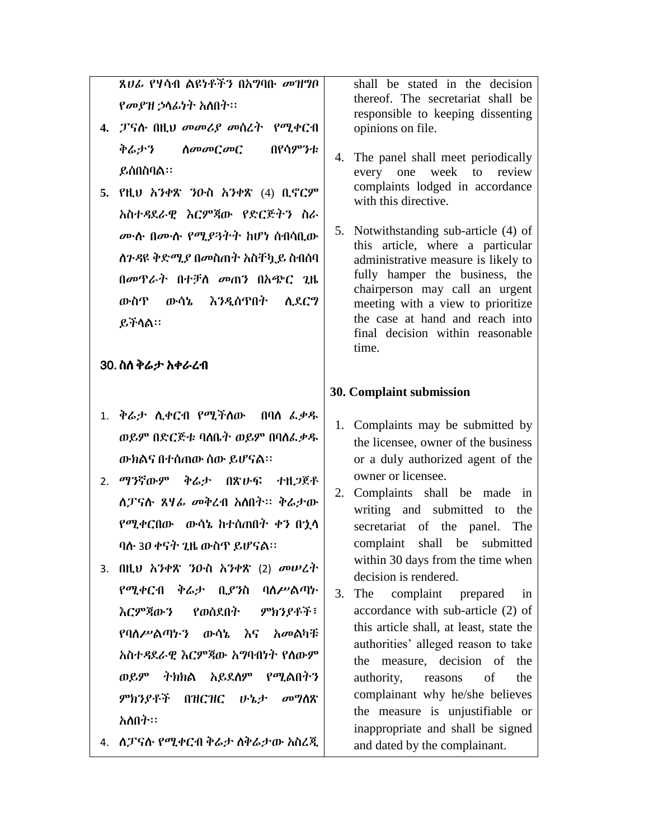ጸሀፊ የሃሳብ ሌዩነቶችን በአግባቡ መዝግቦ የመያዝ ኃሳፊነት አስበት፡፡

- **4.** ፓናለ በዚህ መመሪያ መሰረት የሚቀርብ ቅሬታን ስመመርመር በየሳምንቱ ይሰበስባሌ፡፡
- **5.** የዚህ አንቀጽ ንዐስ አንቀጽ (4) ቢኖርም አስተዲዯራዊ እርምጃው የዴርጅትን ስራ ሙለ በሙለ የሚያጓትት ከሆነ ሰብሳቢው ሇጉዲዩ ቅዴሚያ በመስጠት አስቸኳይ ስብሰባ በመጥራት በተቻለ መጠን በአጭር ጊዜ ውስጥ ውሳኔ እንዲሰጥበት ሊደርግ ይችሊሌ፡፡

## 30. ስስ ቅሬታ አቀራረብ

- 1. ቅሬታ ሲቀርብ የሚችለው በባለ ፌቃዱ ወይም በድርጅቱ ባለቤት ወይም በባለፌቃዱ ውክሌና በተሰጠው ሰው ይሆናሌ፡፡
- 2. ማንኛውም ቅሬታ በጽሁፍ ተዘጋጀቶ ሇፓናለ ጸሃፊ መቅረብ አሇበት፡፡ ቅሬታው የሚቀርበው ውሳኔ ከተሰጠበት ቀን በኋሊ ባለ 3ዏ ቀናት ጊዜ ውስጥ ይሆናሌ፡፡
- 3. በዚህ አንቀጽ ንዐስ አንቀጽ (2) መሠረት የሚቀርብ ቅሬታ ቢያንስ ባስሥልጣኑ እርምጃውን የወሰደበት ምክንያቶች፣ የባለሥልጣኑን ውሳኔ እና አመልካቹ አስተዳደራዊ እርምጃው አግባብነት የስውም ወይም ትክክል አይደለም የሚልበትን ምክንያቶች በዝርዝር ሁኔታ መግለጽ አለበት።
- 4. ስፓናሉ የሚቀርብ ቅሬታ ስቅሬታው አስረጂ

shall be stated in the decision thereof. The secretariat shall be responsible to keeping dissenting opinions on file.

- 4. The panel shall meet periodically every one week to review complaints lodged in accordance with this directive.
- 5. Notwithstanding sub-article (4) of this article, where a particular administrative measure is likely to fully hamper the business, the chairperson may call an urgent meeting with a view to prioritize the case at hand and reach into final decision within reasonable time.

## **30. Complaint submission**

- 1. Complaints may be submitted by the licensee, owner of the business or a duly authorized agent of the owner or licensee.
- 2. Complaints shall be made in writing and submitted to the secretariat of the panel. The complaint shall be submitted within 30 days from the time when decision is rendered.
- 3. The complaint prepared in accordance with sub-article (2) of this article shall, at least, state the authorities" alleged reason to take the measure, decision of the authority, reasons of the complainant why he/she believes the measure is unjustifiable or inappropriate and shall be signed and dated by the complainant.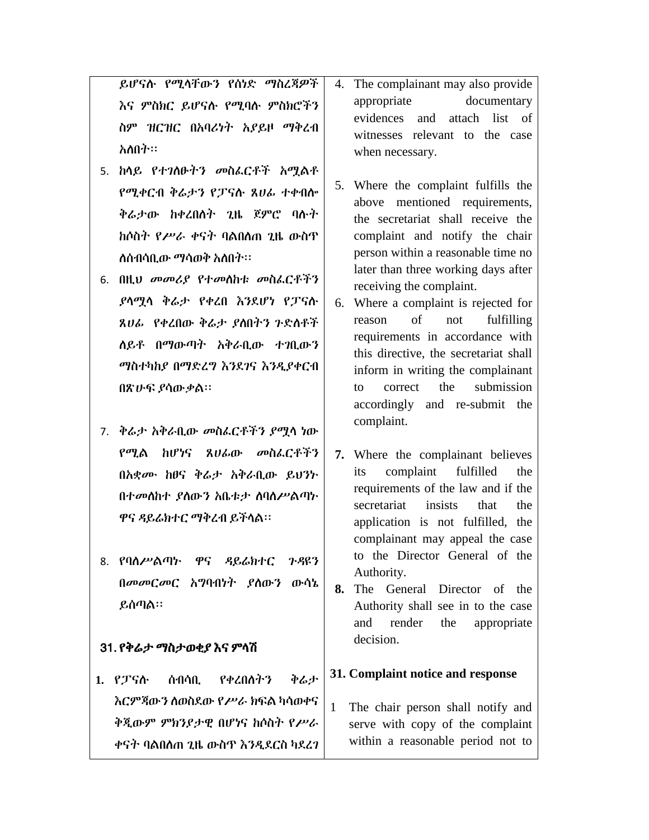ይሆናለ የሚሊቸውን የሰነዴ ማስረጃዎች እና ምስክር ይሆናለ የሚባለ ምስክሮችን ስም ዝርዝር በአባሪነት አያይዞ ማቅረብ አለበት፡፡

- 5. ከላይ የተገለፁትን መስፈርቶች አማልቶ የሚቀርብ ቅሬታን የፓናለ ጸሀፊ ተቀብል ቅሬታው ከቀረበሰት ጊዜ ጀምሮ ባሉት ከሶስት የሥራ ቀናት ባልበለጠ ጊዜ ውስጥ ለሰብሳቢው ማሳወቅ አስበት፡፡
- 6. በዚህ መመሪያ የተመሰከቱ መስፈርቶችን ያላሟላ ቅሬታ የቀረበ እንደሆነ የፓናሉ ጸሀፊ የቀረበው ቅሬታ የስበትን ጉድስቶች ሇይቶ በማውጣት አቅራቢው ተገቢውን ማስተካከያ በማድረግ እንደገና እንዲያቀርብ በጽሁፍ ያሳውቃሌ፡፡
- 7. ቅሬታ አቅራቢው መስፈርቶችን ያሟሊ ነው የሚሌ ከሆነና ጸሀፊው መስፈርቶችን በአቋሙ ከፀና ቅሬታ አቅራቢው ይህንኑ በተመስከተ ያስውን አቤቱታ ስባስሥልጣኑ ዋና ዲይሬክተር ማቅረብ ይችሊሌ፡፡
- 8. የባስሥልጣኑ ዋና ዳይሬክተር ጉዳዩን በመመርመር አግባብነት ያስውን ውሳኔ ይሰጣሌ፡፡

## 31. የቅሬታ ማስታወቂያ እና ምሊሽ

1. የፓና<u>ሉ ሰብሳቢ የቀረበ</u>ስትን ቅሬታ እርምጃውን ስወስደው የሥራ ክፍል ካሳወቀና ቅጂውም ምክንያታዊ በሆነና ከሶስት የሥራ ቀናት ባልበለጠ ጊዜ ውስጥ እንዲደርስ ካደረገ

- 4. The complainant may also provide appropriate documentary evidences and attach list of witnesses relevant to the case when necessary.
- 5. Where the complaint fulfills the above mentioned requirements, the secretariat shall receive the complaint and notify the chair person within a reasonable time no later than three working days after receiving the complaint.
- 6. Where a complaint is rejected for reason of not fulfilling requirements in accordance with this directive, the secretariat shall inform in writing the complainant to correct the submission accordingly and re-submit the complaint.
- **7.** Where the complainant believes its complaint fulfilled the requirements of the law and if the secretariat insists that the application is not fulfilled, the complainant may appeal the case to the Director General of the Authority.
- **8.** The General Director of the Authority shall see in to the case and render the appropriate decision.

## **31. Complaint notice and response**

1 The chair person shall notify and serve with copy of the complaint within a reasonable period not to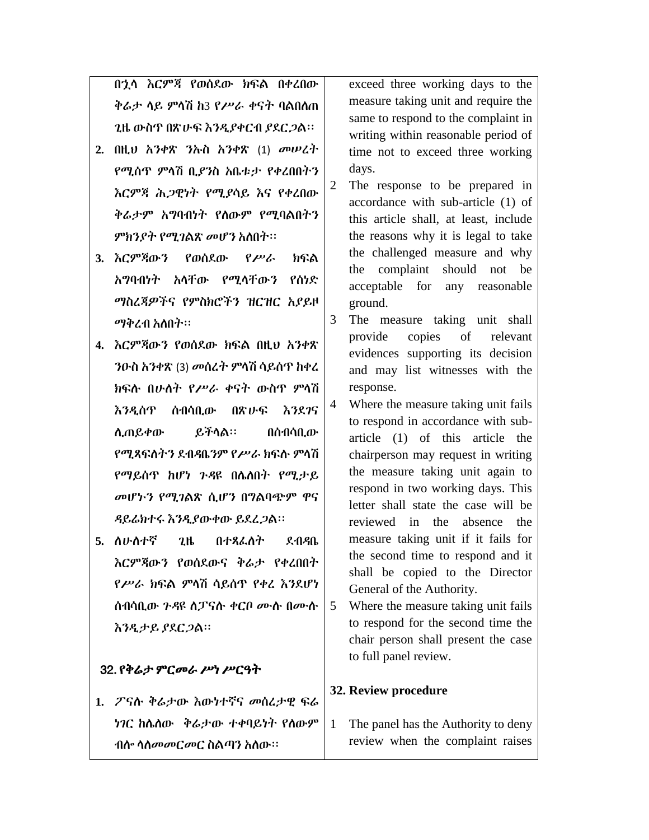በኂሳ እርምጃ የወሰደው ክፍል በቀረበው ቅሬታ ላይ ምላሽ ከ3 የሥራ ቀናት ባልበለጠ ጊዜ ውስጥ በጽሁፍ እንዲያቀርብ ያደር*ጋ*ል፡፡

- **2.** በዚህ አንቀጽ ንኡስ አንቀጽ (1) መሠረት የሚሰጥ ምሊሽ ቢያንስ አቤቱታ የቀረበበትን እርምጃ ሕጋዊነት የሚያሳይ እና የቀረበው ቅሬታም አግባብነት የስውም የሚባልበትን ምክንያት የሚገልጽ መሆን አስበት፡፡
- 3. እርምጃውን የወሰደው የ*ሥራ* ክፍል አግባብነት አሊቸው የሚሊቸውን የሰነዴ ማስረጃዎችና የምስክሮችን ዝርዝር አያይዞ ማቅረብ አለበት፡፡
- 4. እርምጃውን የወሰደው ክፍል በዚህ አንቀጽ ንዐስ አንቀጽ (3) መሰረት ምሊሽ ሳይሰጥ ከቀረ ክፍሉ በሁለት የሥራ ቀናት ውስጥ ምላሽ እንዲሰጥ ሰብሳቢው በጽሁፍ እንደገና ሉጠይቀው ይችሊሌ፡፡ በሰብሳቢው የሚጻፍለትን ደብዳቤንም የሥራ ክፍሉ ምላሽ የማይሰጥ ከሆነ ጉዳዩ በሌለበት የሚታይ መሆኑን የሚገሌጽ ሲሆን በግሌባጭም ዋና ዳይሬክተሩ እንዲያውቀው ይደረ*ጋ*ል፡፡
- 5. ስሁስተኛ *ጊ*ዜ በተጻፈስት ደብዳቤ እርምጃውን የወሰደውና ቅሬታ የቀረበበት የሥራ ክፍል ምላሽ ሳይሰጥ የቀረ እንደሆነ ሰብሳቢው ንዳዩ ስፓናሉ ቀርቦ ሙሉ በሙሉ እንዲታይ ያደር*ጋ*ል፡፡

## 32. የቅሬታ ምርመራ ሥነ ሥርዓት

**1.** ፖናለ ቅሬታው እውነተኛና መሰረታዊ ፍሬ ነገር ከሴስው ቅሬታው ተቀባይነት የስውም ብስ<sub>"</sub> ሳሰ*መመርመር* ስልጣን አሰው፡፡

exceed three working days to the measure taking unit and require the same to respond to the complaint in writing within reasonable period of time not to exceed three working days.

- 2 The response to be prepared in accordance with sub-article (1) of this article shall, at least, include the reasons why it is legal to take the challenged measure and why the complaint should not be acceptable for any reasonable ground.
- 3 The measure taking unit shall provide copies of relevant evidences supporting its decision and may list witnesses with the response.
- 4 Where the measure taking unit fails to respond in accordance with subarticle (1) of this article the chairperson may request in writing the measure taking unit again to respond in two working days. This letter shall state the case will be reviewed in the absence the measure taking unit if it fails for the second time to respond and it shall be copied to the Director General of the Authority.
- 5 Where the measure taking unit fails to respond for the second time the chair person shall present the case to full panel review.

## **32. Review procedure**

1 The panel has the Authority to deny review when the complaint raises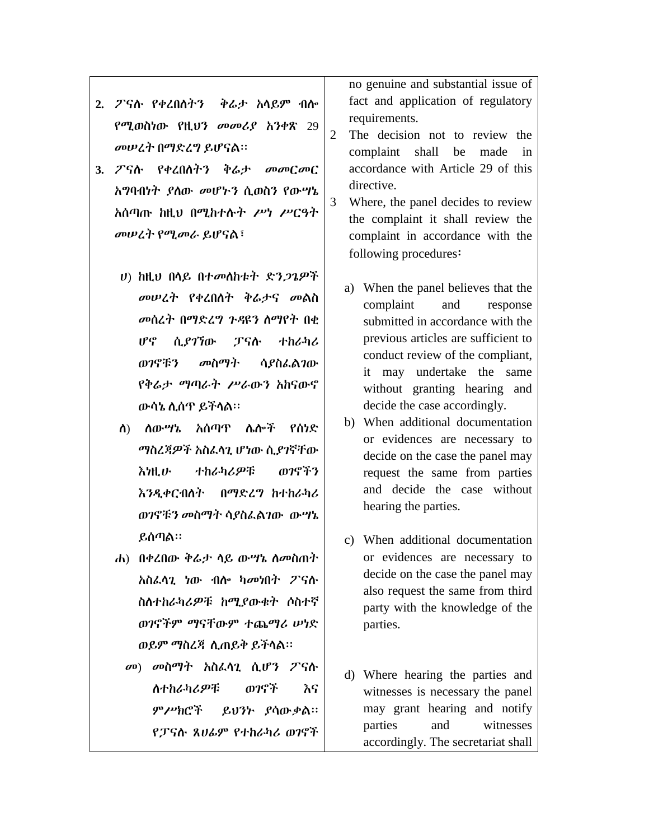| 2.  ፖናሱ የቀረበሰትን  ቅሬታ አሳይም ብሎ $\mid$ |  |  |  |  |
|-------------------------------------|--|--|--|--|
| የሚወስነው የዚህን መመሪያ አንቀጽ 29            |  |  |  |  |
| መሠረት በማድረግ ይሆናል፡፡                   |  |  |  |  |

- 3. ፖና<u>ሉ የቀረበ</u>ስትን ቅሬታ መመርመር አግባብነት ያስው መሆኑን ሲወስን የውሣኔ አሰጣጡ ከዚህ በሚከተለት ሥነ ሥርዓት መሠረት የሚመራ ይሆናሌ፣
	- ሀ) ከዚህ በላይ በተመለከቱት ድን*ጋጌዎች* መሠረት የቀረበስት ቅሬታና መልስ መሰረት በማድረግ ጉዳዩን ስማየት በቀ ሆኖ ሲያገኘው ፓናለ ተከራካሪ ወገኖቹን መስማት ሳያስፈሌገው የቅሬታ ማጣራት ሥራውን አከናውኖ ውሳኔ ሉሰጥ ይችሊሌ፡፡
	- ሇ) ሇውሣኔ አሰጣጥ ላልች የሰነዴ ማስረጃዎች አስፈሊጊ ሆነው ሲያገኛቸው እነዚሁ ተከራካሪዎቹ ወገኖችን እንዲቀርብስት በማድረግ ከተከራካሪ ወገኖቹን መስማት ሳያስፈሌገው ውሣኔ ይሰጣሌ፡፡
	- ሐ) በቀረበው ቅሬታ ሳይ ውሣኔ ስመስጠት አስፈሊጊ ነው ብል ካመነበት ፖናለ ስስተከራካሪዎቹ ከሚያውቁት ሶስተኛ ወገኖችም ማናቸውም ተጨማሪ ሠነዴ ወይም ማስረጃ ሉጠይቅ ይችሊሌ፡፡
		- መ) መስማት አስፈሊጊ ሲሆን ፖናለ ሇተከራካሪዎቹ ወገኖች እና ምሥክሮች ይህንኑ ያሳውቃሌ፡፡ የፓናለ ጸሀፊም የተከራካሪ ወገኖች

no genuine and substantial issue of fact and application of regulatory requirements.

- 2 The decision not to review the complaint shall be made in accordance with Article 29 of this directive.
- 3 Where, the panel decides to review the complaint it shall review the complaint in accordance with the following procedures፡
	- a) When the panel believes that the complaint and response submitted in accordance with the previous articles are sufficient to conduct review of the compliant, it may undertake the same without granting hearing and decide the case accordingly.
	- b) When additional documentation or evidences are necessary to decide on the case the panel may request the same from parties and decide the case without hearing the parties.
	- c) When additional documentation or evidences are necessary to decide on the case the panel may also request the same from third party with the knowledge of the parties.
	- d) Where hearing the parties and witnesses is necessary the panel may grant hearing and notify parties and witnesses accordingly. The secretariat shall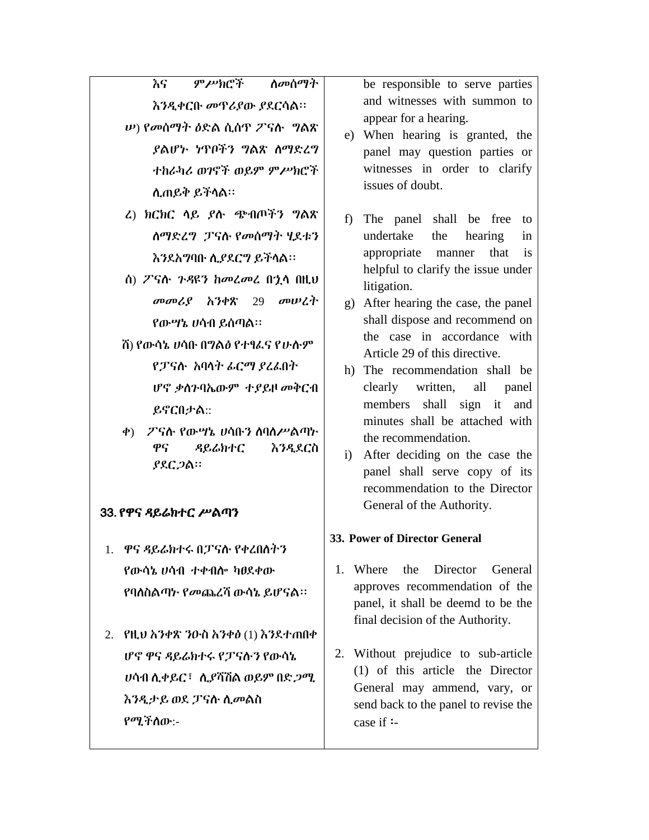|                                          | እና ም <i>ሥ</i> ክሮች ስመሰማት                                                 |  |  |
|------------------------------------------|-------------------------------------------------------------------------|--|--|
|                                          | እንዲቀርቡ መጥሪያው ያደርሳል፡፡                                                    |  |  |
| <i>ν</i> ) የመሰማት ዕድል ሲሰዋ ፖናሱ <i>ግ</i> ልጽ |                                                                         |  |  |
|                                          | ያልሆኑ ነጥቦችን ግልጽ ስማድረግ                                                    |  |  |
|                                          | ተከራካሪ ወገኖች ወይም ምሥክሮች                                                    |  |  |
|                                          | ሊጠይቅ ይችሳል።                                                              |  |  |
|                                          | $k$ ሮ $k$ ሮ አ $\theta$ $\theta$ አ $\theta$ ъ $\theta$ ብ $\Omega$ ችግ ወአው |  |  |

- ረ) ክርክር ሊይ ያለ ጭብጦችን ግሌጽ <u>ለማድረግ ፓናሉ የመሰማት ሂደቱን</u> እንደአግባቡ ሲያደርግ ይችላል፡፡
- ሰ) ፖናለ ጉዲዩን ከመረመረ በኋሊ በዚህ መመሪያ አንቀጽ 29 መሠረት የውሣኔ ሀሳብ ይሰጣሌ፡፡
- ሸ) የውሳኔ ሀሳቡ በግሌፅ የተፃፈና የሁለም የፓናለ አባሊት ፊርማ ያረፈበት ሆኖ ቃስጉባኤውም ተያይዞ መቅርብ ይኖርበታሌ::
- ቀ) ፖናሉ የውሣኔ ሀሳቡን ሰባስሥልጣ፦ ዋና ዳይሬክተር እንዲደርስ ያዯርጋሌ፡፡

#### 33. የዋና ዲይሬክተር ሥሌጣን

- 1. ዋና ዳይሬክተሩ በፓናሉ የቀረበስትን የውሳኔ ሀሳብ ተቀብሎ ካፀደቀው የባለስልጣኑ የመጨረሻ ውሳኔ ይሆናል፡፡
- 2. የዚህ አንቀጽ ንዑስ አንቀፅ (1) እንደተጠበቀ ሆኖ ዋና ዲይሬክተሩ የፓናለን የውሳኔ ሀሳብ ሉቀይር፣ ሉያሻሽሌ ወይም በዴጋሚ እንዲታይ ወደ ፓናሉ ሲመልስ የሚችሇው:-

be responsible to serve parties and witnesses with summon to appear for a hearing.

- e) When hearing is granted, the panel may question parties or witnesses in order to clarify issues of doubt.
- f) The panel shall be free to undertake the hearing in appropriate manner that is helpful to clarify the issue under litigation.
- g) After hearing the case, the panel shall dispose and recommend on the case in accordance with Article 29 of this directive.
- h) The recommendation shall be clearly written, all panel members shall sign it and minutes shall be attached with the recommendation.
- i) After deciding on the case the panel shall serve copy of its recommendation to the Director General of the Authority.

## **33. Power of Director General**

- 1. Where the Director General approves recommendation of the panel, it shall be deemd to be the final decision of the Authority.
- 2. Without prejudice to sub-article (1) of this article the Director General may ammend, vary, or send back to the panel to revise the case if ፡-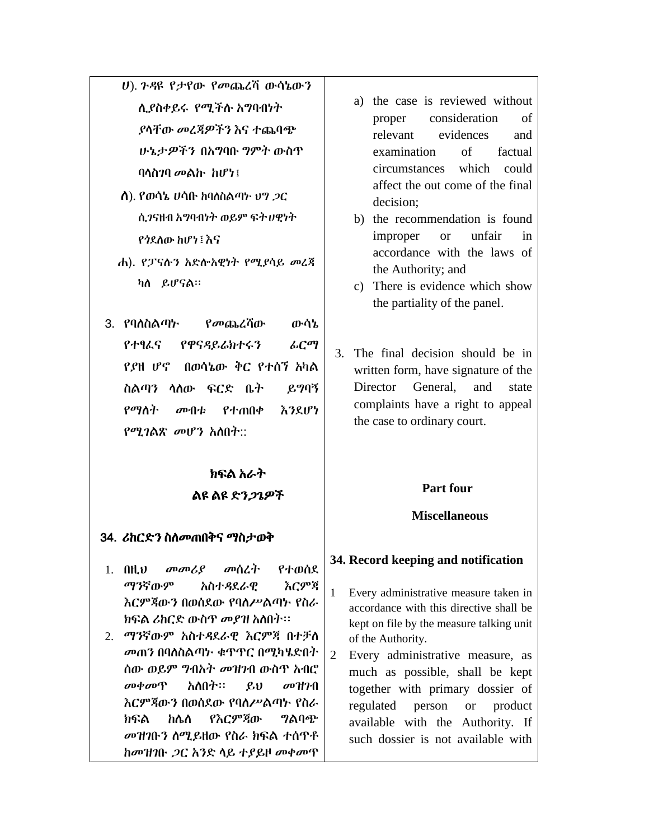- ሀ). ጉዲዩ የታየው የመጨረሻ ውሳኔውን ሉያስቀይሩ የሚችለ አግባብነት ያሊቸው መረጃዎችን እና ተጨባጭ ሁኔታዎችን በአግባቡ ግምት ውስጥ ባሊስገባ መሌኩ ከሆነ፤
- $\Lambda$ ). የወሳኔ ሀሳቡ ከባለስልጣኑ ህግ ጋር ሲገናዘብ አግባብነት ወይም ፍትሀዊነት የሳደለው ከሆነ፤ እና
- ሐ). የፓናለን አዴልአዊነት የሚያሳይ መረጃ ካስ ይሆናል።
- 3. የባለስልጣኑ የመጨረሻው ውሳኔ የተፃፈና የዋናዲይሬክተሩን ፊርማ የያዘ ሆኖ በወሳኔው ቅር የተሰኘ አካሌ ስልጣን ሳሰው ፍርድ ቤት ይግባኝ የማስት መብቱ የተጠበቀ እንደሆነ የሚገልጽ መሆን አለበት::

# ክፍሌ አራት ልዩ ልዩ ድን*ጋጌዎች*

## 34. ሪከርድን ስስመጠበቅና ማስታወቅ

- 1. በዚህ መመሪያ መሰረት የተወሰደ ማንኛውም አስተዲዯራዊ እርምጃ እርምጃውን በወሰደው የባስሥልጣኑ የስራ ክፍል ሪከርድ ውስጥ መያዝ አለበት፡፡
- 2. ማንኛውም አስተዳደራዊ እርምጃ በተቻለ መጠን በባለስልጣኑ ቁጥጥር በሚካሄድበት ሰው ወይም ግብአት መዝገብ ውስጥ አብሮ መቀመጥ አለበት፡፡ ይህ መዝገብ እርምጀውን በወሰደው የባለሥልጣኑ የስራ ክፍል ከሌለ የእርምጃው ግልባጭ መዝገቡን ስሚይዘው የስራ ክፍል ተሰጥቶ ከመዝገቡ ጋር አንዴ ሊይ ተያይዞ መቀመጥ
- a) the case is reviewed without proper consideration of relevant evidences and examination of factual circumstances which could affect the out come of the final decision;
- b) the recommendation is found improper or unfair in accordance with the laws of the Authority; and
- c) There is evidence which show the partiality of the panel.
- 3. The final decision should be in written form, have signature of the Director General, and state complaints have a right to appeal the case to ordinary court.

#### **Part four**

#### **Miscellaneous**

## **34. Record keeping and notification**

- 1 Every administrative measure taken in accordance with this directive shall be kept on file by the measure talking unit of the Authority.
- 2 Every administrative measure, as much as possible, shall be kept together with primary dossier of regulated person or product available with the Authority. If such dossier is not available with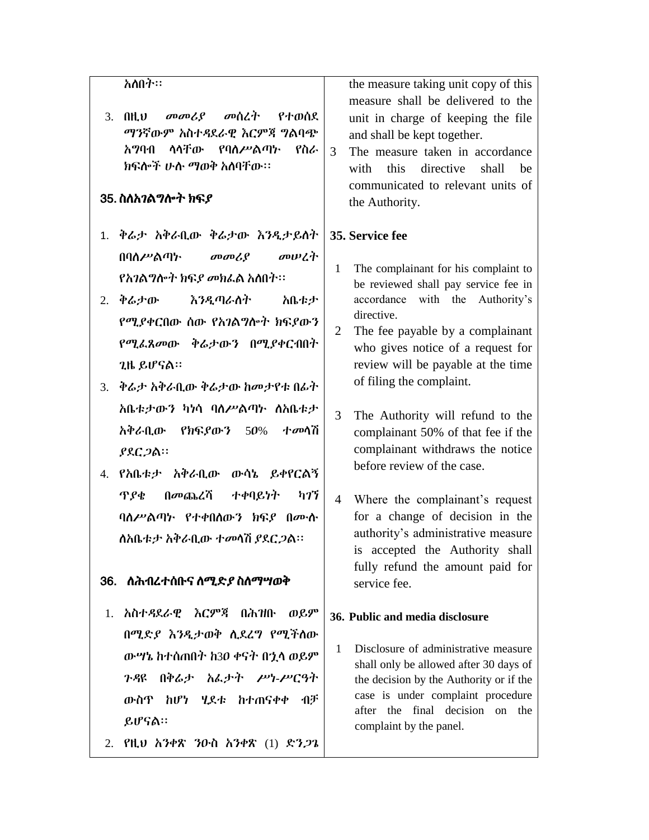| አለበት።<br>በዚህ መመሪያ መሰረት የተወሰደ<br>3.<br>ማንኛውም አስተዳደራዊ እርምጃ ግልባጭ<br>ሳሳቸው የባሰሥልጣት የስራ<br>አማባብ<br>ክፍሎች ሁሉ ማወቅ አስባቸው።<br>35. ስለአ <i>ገ</i> ልግሎት ክፍ <i>ያ</i> | the measure taking unit copy of this<br>measure shall be delivered to the<br>unit in charge of keeping the file<br>and shall be kept together.<br>3<br>The measure taken in accordance<br>this directive<br>shall<br>with<br>be<br>communicated to relevant units of<br>the Authority. |
|------------------------------------------------------------------------------------------------------------------------------------------------------|----------------------------------------------------------------------------------------------------------------------------------------------------------------------------------------------------------------------------------------------------------------------------------------|
| 1. ቅራታ አቅራቢው ቅራታው እንዲታይስት                                                                                                                            | 35. Service fee                                                                                                                                                                                                                                                                        |
| በባለሥልጣኍ<br>$\sigma$ <sub><math>\sigma</math></sub> $\sigma$ <sub><math>\sigma</math></sub> $\sigma$<br>መሠረት                                          |                                                                                                                                                                                                                                                                                        |
| <i>የአገ</i> ል <i>ግ</i> ሎት ክፍ <i>ያ መክ</i> ፌል አለበት፡፡                                                                                                    | The complainant for his complaint to<br>1<br>be reviewed shall pay service fee in                                                                                                                                                                                                      |
| እንዲጣራስት<br>ቅሬታው<br>አቤቱታ<br>2.                                                                                                                        | accordance with the<br>Authority's<br>directive.                                                                                                                                                                                                                                       |
| የሚያቀርበው ሰው የአገልግሎት ክፍያውን                                                                                                                             | The fee payable by a complainant<br>2                                                                                                                                                                                                                                                  |
| የሚፌጸመው ቅሬታውን በሚያቀርብበት                                                                                                                                | who gives notice of a request for                                                                                                                                                                                                                                                      |
| ጊዜ ይሆናል።                                                                                                                                             | review will be payable at the time<br>of filing the complaint.                                                                                                                                                                                                                         |
| ቅሬታ አቅራቢው ቅሬታው ከመታየቱ በፊት<br>3.                                                                                                                       |                                                                                                                                                                                                                                                                                        |
| <b>አቤቱታውን ካነሳ ባለሥልጣ</b> ት <b>ስ</b> አቤቱታ                                                                                                              | The Authority will refund to the<br>3 <sup>1</sup>                                                                                                                                                                                                                                     |
| አቅራቢው<br>የክፍያውን 50%<br>ተመሳሽ<br><i>ያ</i> ደር <i>ጋ</i> ል።                                                                                               | complainant 50% of that fee if the<br>complainant withdraws the notice                                                                                                                                                                                                                 |
| 4. የአቤቱታ አቅራቢው ውሳኔ ይቀየርልኝ                                                                                                                            | before review of the case.                                                                                                                                                                                                                                                             |
| በመጨረሻ<br>ተቀባይነት<br>ካንኘ<br>ዋያቄ                                                                                                                        | $\overline{4}$                                                                                                                                                                                                                                                                         |
| ባለሥልጣኑ የተቀበለውን ክፍያ በሙሱ                                                                                                                               | Where the complainant's request<br>for a change of decision in the                                                                                                                                                                                                                     |
| ስአቤቱታ አቅራቢው ተመሳሽ ያደር <i>ጋ</i> ል።                                                                                                                     | authority's administrative measure                                                                                                                                                                                                                                                     |
|                                                                                                                                                      | is accepted the Authority shall<br>fully refund the amount paid for                                                                                                                                                                                                                    |
| 36. ስሕብረተሰቡና ስሚድ <i>ያ</i> ስስማሣወቅ                                                                                                                     | service fee.                                                                                                                                                                                                                                                                           |
| አስተዳደራዊ እርምጃ<br>በሕዝቡ<br>ወይም<br>$1_{-}$                                                                                                               | 36. Public and media disclosure                                                                                                                                                                                                                                                        |
| በሚድያ እንዲታወቅ ሲደረግ የሚችስው                                                                                                                               |                                                                                                                                                                                                                                                                                        |
| ውሣኔ ከተሰጠበት ከ30 ቀናት በኋላ ወይም                                                                                                                           | Disclosure of administrative measure<br>1<br>shall only be allowed after 30 days of                                                                                                                                                                                                    |
| በቅሬታ አፌታት ሥነ-ሥርዓት<br>ንዳዩ                                                                                                                             | the decision by the Authority or if the                                                                                                                                                                                                                                                |
| ውስጥ ከሆነ ሂደቱ ከተጠናቀቀ<br>イぼ                                                                                                                             | case is under complaint procedure<br>after the final decision on the                                                                                                                                                                                                                   |
| ይሆናል።                                                                                                                                                | complaint by the panel.                                                                                                                                                                                                                                                                |
| የዚህ አንቀጽ <i>ን</i> ዑስ አንቀጽ (1) ድን <i>ጋጌ</i><br>2.                                                                                                     |                                                                                                                                                                                                                                                                                        |